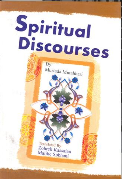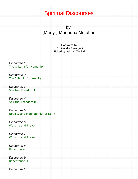# Spiritual Discourses

by (Martyr) Murtadha Mutahari

Translated by Dr. Aluddin Pazargadi Edited by Salman Tawhidi Discourse 1 [The Criteria for Humanity](#page-3-0)  Discourse 2 [The School of Humanity](#page-8-0) Discourse 3 [Spiritual Freedom I](#page-16-0) Discourse 4 [Spiritual Freedom II](#page-24-0)  Discourse 5 [Nobility and Magnanimity of Spirit](#page-31-0)  Discourse 6 [Worship and Prayer I](#page-37-0)  Discourse 7 [Worship and Prayer II](#page-44-0)  Discourse 8 [Repentance I](#page-51-0)  Discourse 9 [Repentance II](#page-59-0)  Discourse 10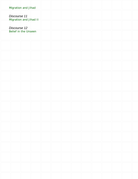| migration and sinda                  |                        |  |  |  |  |  |
|--------------------------------------|------------------------|--|--|--|--|--|
| Discourse 11                         | Migration and Jihad II |  |  |  |  |  |
| Discourse 12<br>Belief in the Unseen |                        |  |  |  |  |  |
|                                      |                        |  |  |  |  |  |
|                                      |                        |  |  |  |  |  |
|                                      |                        |  |  |  |  |  |
|                                      |                        |  |  |  |  |  |
|                                      |                        |  |  |  |  |  |
|                                      |                        |  |  |  |  |  |
|                                      |                        |  |  |  |  |  |
|                                      |                        |  |  |  |  |  |
|                                      |                        |  |  |  |  |  |
|                                      |                        |  |  |  |  |  |
|                                      |                        |  |  |  |  |  |
|                                      |                        |  |  |  |  |  |
|                                      |                        |  |  |  |  |  |
|                                      |                        |  |  |  |  |  |
|                                      |                        |  |  |  |  |  |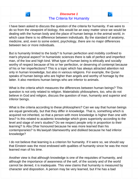# **Discourse 1** The Criteria for Humanity

<span id="page-3-0"></span>

But is humanity limited to the body? Is human perfection and mobility confined to man's physical aspect? In humanistic sciences there is talk of perfect and imperfect man, of the low and high kind. What type of human being is ethically and socially worthy of respect because of his or her perfection, or deserving of contempt because of his or her imperfections? This is a topic which has always attracted attention not only in human knowledge, but also in various religions. For example, the Quran speaks of human beings who are higher than angels and worthy of homage by the latter. It also mentions human beings who are inferior to animals.

What is the criteria which measures the differences between human beings? This question is not only related to religion. Materialistic philosophers, too, who do not believe in God and religion, discuss the question of man, humanity and superior and inferior beings.

What is the criteria according to these philosophers? Can we say that human beings are equal genetically, but that they differ in knowledge. That is, something which is acquired not inherited, so that a person with more knowledge is higher than one with less? Is this related to academic knowledge which gives superiority according to the level and stage of one's studies? Do we respect people only in proportion to their learning? Is Abu Dhar honoured because he was more learned than his contemporaries? Is Mu'awiyah blameworthy and disliked because he had inferior knowledge?

I do not believe that learning is a criterion for humanity. If it were so, we should say that Einstein was the most endowed with qualities of humanity since he was the most learned man of his time.

Another view is that although knowledge is one of the requisites of humanity, and although the importance of awareness of the self, of the society and of the world cannot be denied, it is inadequate. This view claims that humanity is measured by character and disposition. A person may be very learned, but if he has a bad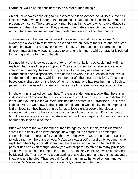character, would he be considered to be a real human being?

An animal behaves according to its instincts and it possesses no will to rule over its instincts. When we call a dog a faithful animal, its faithfulness is instinctive. An ant is prudent by instinct. There are also human beings in the world who have a disposition resembling that of an animal. They possess their natural instincts, but have done nothing to refinethemselves, and are condemned only to follow their nature.

The awareness of an animal is limited to its own time and place, while man's awareness allows him to know the past and have an idea of the future and also step beyond his own area and even his own planet. But the question of character is a different matter. Knowledge is related to what one is taught, while character is related to training and the forming of habits.

I do not think that knowledge as a criterion of humanity is acceptable and I will later explain what type of people support it. The second view, i.e., characteristics as a criterion of humanity, has more supporters. But we may ask what kind of characteristics and dispositions? One of the answers to this question is that love is the desired criterion, love, which is the mother of other fine dispositions. Thus, if one bases one's character on the love of human beings, one has real humanity. Such a person is as interested in others as in one's '"self " or even more interested in them.

In religion this is called self-sacrifice. There is a statement in a book that there is an instruction in all religions to love for others what you love for yourself, and dislike for them what you dislike for yourself. This has been stated in our traditions. This is the logic of love. As we know, in the Hindu schools and in Christianity, much emphasis is laid on love. But they have gone so far as to lose sight of everything else and maintain that love is to be a course of action in all circumstances. Thus the love of both these ideologies is a kind of stupefaction and the adequacy of love as a criterion of humanity is to be discussed.

But if we accept the love for other human beings as the criterion, the issue will be solved more easily than if we accept knowledge as the criterion. For example, concerning our preference for Abu Dhar over Mu'awiyah, we are in a better position to judge them on the basis of love. Mu'awiyah was a selfish and ambitious man who exploited others by force. Abudhar was the reverse, and although he had all the possibilities and even though Mu'awiyah was prepared to offer him many privileges, yet he was anxious about the fate of others, particularly those who were oppressed by Mu'awiyah. That is why he arose against this wicked man and spent his last years in exile where he died. Thus, we call Abudhar human as he loved others, and we consider Mu'awiyah inhuman as he was only interested in himself.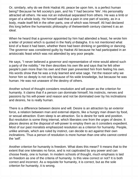Or, similarly, why do we think Hadrat Ali, peace be upon him, is a perfect human being? Because he felt society's pain, and his 'I' had become 'We'. His personality attracted all others. He was not an individual separated from others. He was a limb or organ of a whole body. He himself said that a pain in one part of society, as in a body, made itself felt in the other parts, one of which was himself. Ali had declared this long before the humanistic philosophy of thetwentieth century claimed it as an ideal.

When he heard that a governor appointed by him had attended a feast, he wrote him a letter of protest which is quoted in the Nahj ul-Balagha. It is not mentioned what kind of a feast it had been, whether there had been drinking or gambling or dancing. The governor was considered guilty by Hadrat Ali because he had participated in an aristocratic feast which was not attended by any poor people.

He says, "I never believed a governor and representative of mine would attend such a party of the nobility." He then describes his own life and says that he felt other people's pain more than his own and their pain prevented him from feeling his own. His words show that he was a truly learned and wise sage. Yet the reason why we honor him so deeply is not only because of his wide knowledge, but because he was human. He was not unaware of the destiny of others.

Another school of thought considers resolution and will power as the criterion for humanity. It claims that if a person can dominate himself, his instincts, nerves and passions by his will-power and reason and not be dominated over by his inclinations and desires, he is really human.

There is a difference between desire and will. Desire is an attraction by an exterior force, a relation between man and external objects, like a hungry man drawn by food, or sexual attraction. Even sleep is an attraction. So is desire for rank and position. But resolution is some thing internal, which liberates one from the urges of desire. It places desires at the disposal of will-power to employ them as it considers expedient. Most of our past moralists emphasized resolution as a criterion for humanity. People, unlike animals, which are ruled by instinct, can decide to act against their own inclinations. Thus a person of resolution is more human than one who cannot control the 'self'.

Another criterion for humanity is freedom. What does this mean? It means that to the extent that one tolerates no force, and is not captivated by any power and can choose freely, one is human. In modern schools of thought, much emphasis is laid on freedom as one of the criteria of humanity. Is this view correct or not? It is both correct and incorrect. As a requisite for humanity, it is correct, but as the sole criterion for humanity, it is wrong.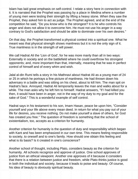Islam has laid great emphasis on self-control. I relate a story here in connection with it. It is narrated that the Prophet was passing by a place in Medina where a number of young men were testing their strength by lifting a heavy stone. When they saw the Prophet, they asked him to act as judge. The Prophet agreed, and at the end of the competition he said, "Do you know who is the strongest? It is he who controls his anger and does not allow it to overcome him. He must not use his anger in a way contrary to God's satisfaction and should be able to dominate over his own desires."

On that day, the Prophet transformed a physical contest into a spiritual one. What he meant was that physical strength shows manliness but it is not the only sign of it. True manliness is in the strength of will power.

We call Hadrat Ali the 'Lion of God', for he was more manly than all in two ways: Externally in society and on the battlefield where he could overthrow his strongest opponents; and, more important than that, internally, meaning that he was in perfect control of himself and of every whim and wish.

Jalal al-din Rumi tells a story in his Mathnavi about Hadrat Ali as a young man of 24 or 25 in which he portrays a fine picture of manliness. He had thrown down his adversary in a battle and was sitting on his chest, about to kill him. The man spit on Hadrat's face. Annoyed, Hadrat Ali temporarily leaves the man and walks about for a while. The man asks why he left him to himself. Hadrat answers, "If I had killed you then, it would have been in anger, not in the way of my duty to my goal and for the sake of God." This is a wonderful example of self control.

Hadrat says in his testament to his son, Imam Hasan, peace be upon him, "Consider yourself and your life above every mean deed. In return for what you pay out of your life for desires, you receive nothing. Do not make yourself a slave of others, for God has created you free." The question of freedom is something that the school of existentialism, too, accepts as a criterion for humanity.

Another criterion for humanity is the question of duty and responsibility which began with Kant and has been emphasized in our own time. This means feeling responsible to society, to oneself and to one's family. How should one obtain this feeling and what is its basis? Is it created in one's conscience?

Another school of thought, including Plato, considers beauty as the criterion for humanity. All schools recognize and approve of justice. One school approves of justice from an ethical viewpoint. Another one approves of it because it considers that there is a relation between justice and freedom, while Plato thinks justice is good in both the individual and society, because it leads to poise and beauty. Of course, his idea of beauty is obviously spiritual beauty.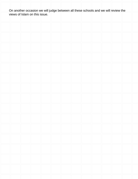On another occasion we will judge between all these schools and we will review the views of Islam on this issue.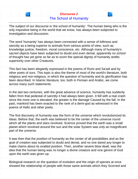## **Discourse 2** The School of Humanity

<span id="page-8-0"></span>The subject of our discourse is 'the school of humanity'. The human being who is the only inquisitive being in the world that we know, has always been subjected to investigation and discussion.

The word 'humanity' has always been connected with a sense of loftiness and sanctity as a being superior to animals from various points of view, such as knowledge justice, freedom, moral conscience, etc. Although many of humanity's sacred objects have been subjected to doubt and even denial, apparently no school of thought has yet gone so far as to scorn the special dignity of humanity andits superiority over other Creatures.

This fact has been elegantly expressed in the poems of Rumi and Sa'adi and by other poets of ours. This topic is also the theme of most of the world's literature, both religious and non-religious, in which the question of humanity and its glorification has been described. In Islamic literature, too, both in Persian and Arabic, we come across many such statements.

In the last two centuries, with the great advance of science, humanity has suddenly fallen from that pedestal of sanctity it had always been given. It fell with a real crash since the more one is elevated, the greater is the damage Caused by the fall. In the past, mankind has been exacted to the rank of a demi-god as witnessed in the poems of Hafiz and other poets.

The first discovery of humanity was the form of the universe which revolutionized its ideas. Before that, the earth was believed to be the center of the universe round which all the plants and stars revolved. Science proved that the earth was a small planet which revolved around the sun and the solar System was only an insignificant part of the universe.

It was then that the position of humanity as the center of all possibilities and as the goal of creation was subjected to doubt and denial, and no one dared any longer to make claims about its exalted position. Then, another severe blow dealt, was the idea that the human being was no longer a divine creature and vice gerent of God upon the earth was given up.

Biological research on the question of evolution and the origin of species at once showed the relationship of people with those same animals which they Scorned and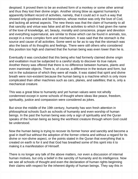despised. It proved them to be an evolved form of a monkey or some other animal and thus they lost their divine origin. Another strong blow as against humanity's apparently brilliant record of activities, namely, that it could act in such a way that showed only goodness and benevolence, whose motive was only the love of Cod, and lacking all animal aspects. The new thesis was that the claim of humanity to all that sanctity and virtue was false and all the activities to which it had given the name of the love of knowledge, art, beauty, morality and conscience, prayer and devotion and everything supernatural, are similar to those which can be found in animals, too, except in a more complex form and mechanism. It was said that the stomach is the source and cause of all activities. Some went so far as to say that the stomach was also the basis of its thoughts and feelings. There were still others who considered this position too high and claimed that the human being was even lower than he is.

Eventually it was concluded that this being who had formerly claimed divine origin and exaltation must be subjected to a careful study to discover its true nature. Another theory was offered that there is no difference between humans, plants and even inanimate objects. There is, of course, a difference in the texture and form, but not in the substance of which they were all made. It was stated that spirit and divine breath were non-existent because the human being is a machine which is only more complicated than other machines such as cars, planes, and satellites; that is, only a mechanical creature.

This was a great blow to humanity and yet human values were not wholly condemned except in some schools of thought where ideas like peace, freedom, spirituality, justice and compassion were considered as jokes.

But since the middle of the 19th century, humanity has won fresh attention in philosophical schools Such as schools of humanity and even worship of human beings. In the past the human being was only a sign of spirituality and the Quran speaks of the human being as being the worthiest creature through whom God could be understood.

Now the human being is trying to recover its former honor and sanctity and become a goal in itself but without the adoption of the former criteria and without a regard for its divine or non-divine aspect, or the points stated in the Quran that everything that is created on earth is for it and that God has breathed some of this spirit into it to making it a manifestation of Himself.

There is no longer any talk of the above matters, nor even a discussion of internal human motives, but only a belief in the sanctity of humanity and its intelligence. Now we see all schools of thought and even the declaration of human rights beginning their claims with respect for the inherent dignity of human beings. They say this in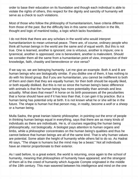order to base their education on its foundation and though each individual is able to violate the rights of others, this respect for the dignity and sanctity of humanity will serve as a check to such violations.

Most of those who follow the philosophy of humanitarianism, have criteria different from those of the past. But the difficulty lies in this same contradiction in the life, thought and logic of mankind today, a logic which lacks foundation .

I do not think that there are any scholars in the world who would interpret humanitarianism to mean universal peace. There are, of course, ordinary people who think all human beings in the world are the same and of equal worth. But this is not true. One is learned, another is ignorant; one is virtuous, another is impure; one is tyrannical, another is oppressed; one is benevolent, another is malevolent. Should we consider them all the same from a humanitarian point of view, irrespective of their knowledge, faith, chastity and benevolence or vice versa?

If we say so, we are betraying humanity. Let me give an example. Both A and B are human beings who are biologically similar. If you dislike one of them, it has nothing to do with his blood group. But if you are humanitarian, you cannot be indifferent to both of them and claim that they are equally human; for then both should be equally liked, or both equally disliked. But this is not so since the human being's basic difference with animals is that the human being has more potentiality than animals and less actuality. What does that mean? A horse on its birth possesses all the peculiarities that a horse should have and if it has less than that, it can gain it by practice. But a human being has potential only at birth. lt is not known what he or she will be in the future. The shape is human hut that person may, in reality, become a wolf or a sheep or a human being.

Mulla Sadra, the great Iranian Islamic philosopher, in pointing out the error of people in thinking human beings equal in everything, says that there are as many kinds of individuals as there are individuals. He is, of courses regarding the human being philosophically, not biologically. A biologist pays attention to human organs and limbs, while a philosopher concentrates on the human being's qualities and thus he cannot believe that human beings are all of the same kind. That is why human values are potential. Some attain the height of humanity while others fail to do so. As Hadrat Ali says, "The shape is humans but the mind may be a beast." Not all individuals have an interior proportionate to their exterior.

As I said before, to a great extent, the world is returning, once again to the school of humanity, meaning that philosophies of humanity have appeared; and the strangest of them all is the creed of humanity which Auguste Compte originated in the middle of the 19th century. This man wavered between his intelligence and mind on the one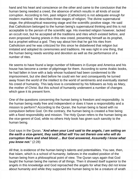hand and his heart and conscience on the other and came to the conclusion that the human being needed a creed, the absence of which results in all kinds of social corruption. According to him, past religion (Catholicism) is not adequate enough for modern mankind. He describes three stages of religion; The divine supernatural stage, the philosophical reasoning stage and the scientific positive stage. He said that Catholicism belonged to the human being's supernatural thinking and this is not acceptable to the person of the scientific age. His invented religion however, lacked an occult root, but he accepted all the traditions and rites which existed before, and even proposed having priests in this new creed, presenting himself as its prophet, but a prophet without a god. They say about him that he got his rites from Catholicism and he was criticized for this since he disbelieved that religion but imitated and adopted its ceremonies and traditions. He was right in one thing, that the human being needs worship and devotion as well as the performance of a number of rites.

He seems to have found a large number of followers in Europe and America and his house has become a center of pilgrimage for them. According to some Arabic books, he had fallen in love with a lady whose husband had been condemned to life imprisonment, but she died before he could win her and consequently he turned away frown the world of the intellect to the world of sentiments and eventually started his creed of humanity. This lady-love is considered by his followers as holy as Mary, the mother of Christ. But this school of humanity underwent a number of changes which gave it its present form.

One of the questions concerning the human being is freedom and responsibility. Is the human being really free and independent or does it have a responsibility and a mission to perform? According to the Quran, the human being is faced with no compulsion before God. On the contrary, the human being is created a free being with a fixed responsibility and mission. The Holy Quran refers to the human being as the vice-gerent of God, while no others Holy book has given such sanctity to the human being.

God says in the Quran, "**And when your Lord said to the angels, I am setting on the earth a vice-gerent, they said,What will You set therein one who will do corruption there and shed blood ... But God answered, Assuredly I know what you know not.**" (2:28)

All that, is evidence of the human being's talents and potentialities. You see, then, that Islam, which is a school of humanity, believes in the exalted position of the human being from a philosophical point of view. The Quran says again that God taught the human being the names of all things. Then it showed itself superior to the angels in this knowledge and God reproached the angels for what they did not know about humanity and while they supposed the human being to be a creature of wrath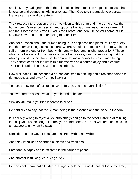and lust, they had ignored the other side of its character. The angels confessed their ignorance and begged for His forgiveness. Then God told the angels to prostrate themselves before His creature.

The greatest interpretation that can be given to this command in order to show the human being's mission freedom and option is that God makes it the vice-gerent of and the successor to himself. God is the Creator and here He confers some of His creative power on the human being to benefit from.

Another question shout the human being is its happiness and pleasure. I say briefly that the human being seeks pleasure. Where Should it be found? Is it from within the self or from without, or from both within and without and in what proportion? Those who focus their attention on sures outside themselves, wrongly supposing that the whole joy of life is this, have not been able to know themselves as human beings. They cannot consider the life within themselves as a source of joy and pleasure. Their exhilaration lies in a wine-cup, a cabaret.

How well does Rumi describe a person addicted to drinking and direct that person to righteousness and away from evil saying,

You are the symbol of existence, wherefore do you seek annihilation?

You who are an ocean, what do you intend to become?

Why do you make yourself indebted to wine?

He continues to say that the human being is the essence and the world is the form.

It is equally wrong to reject all external things and go to the other extreme of thinking that all joys must be sought internally. In some poems of Rumi we come across such an exaggeration when he says,

Consider that the way of pleasure is all from within, not without

And think it foolish to abandon customs and traditions.

Someone is happy and intoxicated in the corner of prison,

And another is full of grief in his garden.

He does not mean that all external things should be put aside but, at the same time,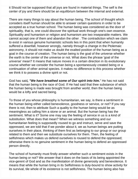it Should not be supposed that all joys are found in material things. The self is the center of joy and there should be an equilibrium between the internal and external.

There are many things to say about the human being. The school of thought which considers itself human should be able to answer certain questions in order to be accepted as a true human school. The human being was considered as the door of spirituality, that is, one could discover the spiritual work through one's own essence. Spirituality and humanism or religion and humanism are two inseparable matters. We cannot accept one of them and abandon the other . The contradiction which we claim to exist in various genuine humanistic schools lies in this point that when humanity suffered a downfall, however wrongly, namely through a change in the Ptolemaic astronomy, it should not make us doubt the exalted position of the human being as a goal in the course of creation. The human being is the goal of the universe whether the earth is the center of the universe or not. What does the phrase 'goal of the universe' mean? It means that nature moves in a certain direction in its evolutionary course whether we consider the human being a spontaneously created being or a continuation of other animal species. it makes no difference to this process whether we think it to possess a divine spirit or not.

God has said**, "We have breathed some of Our spirit into him.**" He has not said that the human being is the race of God. If He had said that thee substance of which the human being is made was brought from another world, then the human being would be a lofty and sacred being.

To those of you whose philosophy is humanitarian, we say, is there a sentiment in the human being either called benevolence, goodness or service, or not? If you say there is not, then to attribute Such a quality to the human being would be as meaningless as calling him a stone or an animal. But the human being has the sentiment. What is it? Some one may say the feeling of service in us is a kind of substitution. What does that mean? When we witness something and our humanitarian feeling is supposedly roused to go and instruct, serve and save the oppressed, we are told that if we ponder about it, we as human beings are putting ourselves in their place, thinking of them first as belonging to our group or our group related to them and then we substitute ourselves for them. Then, the feeling of selfishness which makes us defend ourselves is roused to defend the oppressed; otherwise there is no genuine sentiment in the human being to defend an oppressed person directly.

The school of humanity must firstly answer whether such a sentiment exists in the human being or not? We answer that it does on the basis of its being appointed the vice-gerent of God and as the manifestation of divine generosity and benevolence. It means that while the human bring in its Selfishness is duty-bound to show activity for its survival, tile whole of its existence is not selfishness. The human being also has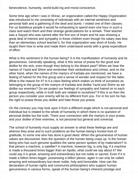benevolence, humanity, world-build ing and moral conscience.

Some time ago when I was in Shiraz, an organization called the Happy Organization was introduced to me consisting of individuals with an internal sentiment and personal faith and a gathering of the deaf and dumb. I visited one of their classes. For us fastidious people it would he exhausting to spend even one hour in such a class and watch them and their strange gesticulations for a remark. Their teacher was a Sayyid who was named after the first son of Imam and he was showing a great deal of interest and sympathy in those children even though his salary was less than an elementary school teacher's, for that organization was short of funds. He taught them how to write and made them understand words with a great expenditure of effort.

What is this sentiment in the human being? It is the manifestation of humanity and its genuineness. Generally speaking, what is this sense of praise for the good and dislike for the sick, even though they belong to the distant past? When we hear the names of Yazid and Shimr and remember their wickedness and crimes, and on the other hand, when the names of the martyrs of Karbala are mentioned, we have a feeling of hatred for the first group and a sense of wonder and respect for the latter. What is the reason for it? Is it a class feeling which makes us think of ourselves as belonging to the group of the martyrs of Karbala and dislike Yazid and Shimr as we dislike our enemies? Do we project our feelings of sympathy and hatred on to each group respectively, while in truth both are related to ourselves? If this is so then the person you consider your enemy will be no different from you. For in his turn he has the right to praise those you dislike and hate those you praise.

On the contrary you may look upon it from a different angle which is not personal and individual but is related to the whole of humanity in which there is no question of personal dislike but the truth. There your connection with the martyrs in your praise, and your dislike of their enemies, is not personal but general and universal.

The school of humanity must supply an answer to what these feelings are and whence they arise and to such problems as the human being's honest love of gratitude, to some one who has done a good deed. When the genuineness of human values are discovered, then the question of the human being crops up. Is the human being who has such genuine qualities the same person spoken of by materialism? Is that person a machine, a satellite? A machine, however big, is only big, if a machine is made a thousand times bigger than an Apollo, what could we say about it? We could say it is great, amazing and extraordinary but not noble or sacred. Even if it is made a billion times bigger, possessing a billion pieces, again it can only be called amazing and extraordinary but never noble, holy and honorable. How can the declaration of human rights and communist philosophers who support human genuineness in various forms, speak of the human being's inherent prestige and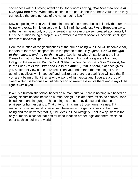sacredness without paying attention to God's words saying, **"We breathed some of Our spirit into him,**" When they ascertain the genuineness of these values then they can realize the genuineness of the human being itself.

Now supposing we realize this genuineness of the human being is it only the human being who exists in this universe which is in infinite darkness? As a European says, is the human being only a drop of sweat in an ocean of poison created accidentally? Or is the human being a drop of sweet water in a sweet ocean? Does this small light represent universal light?

Here the relation of the genuineness of the human being with God will become clear, for both of them are inseparable. In the phrase of the Holy Quran**, God is the light of the heavens and the earth**, the word God is not what Aristotle calls the first Cause for that is different from the God of Islam. His god is separate from and foreign to the universe. But the God Of Islam, when the phrase, **He is the First, He is the Last, He is the Outer and He is the Inner**. (57:3) is heard, it at once gives you a different view of the universe. Then you understand the meaning of all the genuine qualities within yourself and realize that there is a goal. You will see that if you are a beam of light then a whole world of light exists and if you are a drop of sweat water it is because an infinite ocean of sweetness exists there and a ray of His light is within you.

Islam is a humanistic school based on human criteria There is nothing in it based on wrong discriminations between human beings. In Islam there exists no country, race, blood, zone and language. These things are not an evidence and criterion of privilege for human beings. That criterion in Islam is those human values. If it respects those values, it is because it believes in the genuineness of the human being and the universe; that is, it believes in God Almighty. That is why Islam is the only humanistic school that has for its foundation proper logic and there exists no other such school in the world.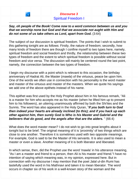

<span id="page-16-0"></span>**Say, oh people of the Book! Come now to a word common between us and you that we worship none but God and that we associate not aught with Him and do not some of us take others as Lord, apart from God.** (3:64)

The subject of our discussion is spiritual freedom. The points that I wish to submit to this gathering tonight are as follows: Firstly, the nature of freedom; secondly, how many kinds of freedom there are though I confine myself to two types here, namely, spiritual freedom and social freedom and thirdly, the relationship between these two types of freedom and the extent to which spiritual freedom is possible without social freedom and vice versa. The discussion will mainly be centered round the last point, namely, the connection between the two types of freedom.

I begin my discourse with a point which is relevant to this occasion, the birthday anniversary of Hadrat Ali, the Master (mawla) of the virtuous, peace be upon him. One of the words we often use in connection with his personality is the word master and master of the virtuous and master of the masters. When we quote his sayings we add one of the above epithets instead of his name.

This epithet was first used by the Holy Prophet about him in his famous remark, "Ali is a master for him who accepts me as his master (when he lifted him up to present him to his followers), an uttering unanimously affirmed by both the Shi'ites and the Sunnis. The word has also appeared in the Holy Quran, "**If you both turn to God then indeed your hearts are already inclined (to this); and if you hack up each other against him, then surely God is Who is his Master and Gabriel and the believers that do good, and the angels after that are the aiders.** " (66:4)

What does the word master mean? I do not wish to go into great lengths about it tonight but to be brief. The original meaning of it is 'proximity' of two things which are close to one another. Therefore it is sometimes used with two opposite meanings. For example, God is said to be the Master of His servants. It is also used to mean a master or even a slave. Another meaning of it is both liberator and liberated.

In which sense, then, did the Prophet use the word 'mawla' in his utterance meaning, "As I am a master and friend to a person, then Ali is his master and friend."I have no intention of saying which meaning was, in my opinion, expressed here. But in connection with my discourse I may mention that the poet Jalal ul-din Rumi has tastefully used the word in his Mathnavi and taken it to mean liberator. The word occurs in chapter six of his work in a well-known story of the woman and the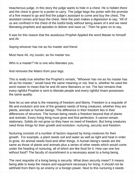treacherous judge. In this story the judge wants to hide in a chest. He is hidden there and the chest is given to a porter to carry. The judge begs the porter with the promise of a fine reward to go and find the judge's assistant to come and buy the chest. The assistant comes and buys the chest. Here the poet makes a digression to say, "All of us are confined in the chest of the lustful body without being aware of it and we need liberating prophets and apostles to deliver and save us." Then he goes on to say,

It was for this reason that the assiduous Prophet Applied the word Master to himself and Ali

Saying whoever has me as his master and friend

Must have Ali, my cousin, as his master too.

Who is a master? He is one who liberates you.

And removes the fetters from your legs.

This is really true whether the Prophet's remark, "Whoever has me as his master has Ali as his master," would have the same meaning or not, that is, whether he used the word master to mean that he and Ali were liberators or not. The fact remains that every rightful Prophet is sent to liberate people and every rightful Imam possesses the same quality.

Now let us see what is the meaning of freedom and liberty. Freedom is a requisite of life and evolution and one of the greatest needs of living creatures, whether they are plants, animals or human beings. The difference in their freedom lies in their differences of structure. The human being needs a freedom beyond that of plants and animals. Every living thing must grow and find perfection. It cannot remain stationary. Solids do not grow so they have no need of freedom. But living creatures need three things for their growth and evolution: nurturing, security and freedom.

Nurturing consists of a number of factors required by living creatures for their growth . For example, a plant needs soil and water as well as light and heat in order to grow. An animal needs food and other things. A human being's needs are the same as those of plants and animals plus a series of other needs which would come under the heading of nurturing, all of which are like food for it. How can one live without food? The faculty of nourishment is a necessary asset to a living being.

The next requisite of a living being is security. What does security mean? It means being able to keep the means and equipment necessary for living. It should not be withheld from them by an enemy or a foreign power. Next to this nurturing it needs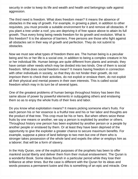security in order to keep its life and wealth and health and belongings safe against aggression.

The third need is freedom. What does freedom mean? It means the absence of obstacles in the way of growth. For example, in growing a plant, in addition to other requisites, you must provide a suitable environment for it and remove all obstacles. If you plant a tree under a roof, you are depriving it of free space above to attain its full growth. Thus every living being needs freedom for its growth and evolution. What is this freedom? It is the absence of barriers. Free persons are those who fight against all obstacles set in their way of growth and perfection. They do not submit to obstacles.

Now we must see what types of freedom there are. The human being is a peculiar being and his or her life is a social one, in addition to being a complex creature in his or her individual life. Human beings are quite different from plants and animals; they have certain other needs which may be divided into two kinds. One of them is social freedom. What does social freedom mean? It means having freedom in connection with other individuals in society, so that they do not hinder their growth, do not imprison them to check their activities, do not exploit or enslave them, do not exploit all their physical and mental powers in their own interests. This is called social freedom which may in its turn be of several types.

One of the greatest problems of human beings throughout history has been this same abuse of power by powerful elements in subjugating others and enslaving them so as to enjoy the whole fruits of their lives and labor.

Do you know what exploitation means? It means picking someone else's fruits. For each person his or her essence is a fruitful tree and his or her labor and thoughts are the product of that tree. This crop must be his or hers. But when others seize these fruits by one means or another, we say a person is exploited by another or others. Throughout history one person has been exploited by another person or a people by another people or enslaved by them. Or at least they have been deprived of the opportunity to give the exploiter a greater chance to secure maximum benefits. For example, suppose a piece of land belongs to two men but one of them who is stronger takes possession of the whole land and expels the other or employs him as a laborer; that will be a form of slavery.

In the Holy Quran, one of the explicit purposes of the prophets has been to offer mankind social liberty and deliver them from their mutual enslavement. The Quran is a wonderful Book. Some ideas flourish in a particular period while they lose their brilliance at other times. But the case is different with the Quran for its ideas and words possess a permanent lustre and this is something of an epic and miracle. One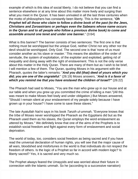example of which is this idea of social liberty. I do not believe that you can find a sentence elsewhere or at any time about this matter more lively and surging than what you meet in the Quran. It has been unrivaled in all the last three centuries when the motto of philosophers has constantly been liberty. This is the sentence, "**Oh Prophet tell all those who claim to follow a divine book of the past (to the Jews, Christians and Zoroastrians or perhaps even the Sabeans whose name occurs in the Quran and to all people who follow a previous divine book) to come and assemble around one tenet and under one banner.**" (3:64)

What is this banner? The banner consists of two sentences: The first one is that nothing must be worshipped but the unique God, neither Christ nor any other nor the devil should be worshipped. Only God. The second one is that 'none of us must consider another as his slave or master.' This means the abolition of the order of servitude, the system of exploitation, of the exploiter and exploited, getting rid of inequality and doing away with the right of enslavement. This is not the only verse about this matter in the Holy Quran. There are many of them but as I wish to be brief, I will mention a few of them. The Quran, quoting Moses in his argument with the Pharaoh, quotes the latter's remarks: "**And you did (that) deed of yours which you did; you are one of the ungrateful**." (26:19) Moses answers, "**And is it a favor of which you remind me that you have enslaved the children of Israel?"** (26:22)

The Pharaoh had said to Moses, "You are the man who grew up in our house and at our table and when you grew up you committed the crime of killing a man."(All this was meant to make Moses feel lowly and under obligation.) But Moses answered, "Should I remain silent at your enslavement of my people solely because I have grown up in your house? I have come to save these slaves."

The late Ayatullah Nai'ni says in his book Tanzih ul-ummah, "Everyone knows that the tribe of Moses never worshipped the Pharaoh as the Egyptians did but as the Pharaoh used them as his slaves, the Quran employs the word enslavement as uttered by Moses." We definitely know that one of the aims of the Prophets is to establish social freedom and fight against every form of enslavement and social deprivation.

The world of today, too, considers social freedom as being sacred and if you have read the universal declaration of human rights, you will see that the major cause of all wars, bloodshed and misfortunes in the world is that individuals do not respect the freedom of others. Is the logic of a Prophet so far in accord with modern logic? Is liberty sacred? Yes, it is sacred and very much so.

The Prophet always feared the Umayyids and was worried about their future in connection with the Islamic ummah. So he (according to a successive narration)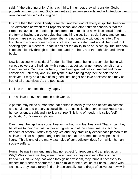said, "If the offspring of Ibn Aas reach thirty in number, they will consider God's property as their own and God's servant as their own servants and will introduce their own innovations in God's religion."

It is true then that social liberty is sacred. Another kind of liberty is spiritual freedom. The difference between the Prophets' school and other human schools is that the Prophets have come to offer spiritual freedom to mankind as well as social freedom, the former having a greater value than anything else. Both social liberty and spiritual freedom are sacred and the former liberty is not possible without the latter. The trouble with modern human society is that it tries to safeguard social liberty without seeking spiritual freedom. In fact it has not the ability to do so, since spiritual freedom is obtainable only through prophethood and Prophets, and through faith and divine books.

Now let us see what spiritual freedom is. The human being is a complex being with various powers and instincts, with strength, appetites, anger, greed, ambition and love of excess. On the other hand, it has been granted reason, mental and moral conscience. Internally and spiritually the human being may feel the self free or enslaved. It may be a slave of its greed, lust, anger and love of excess or it may be free of all these vices. As the poet says,

I tell the truth and feel thereby happy

I am a slave to love and free in both worlds.

A person may be so human that that person is socially free and rejects abjectness and servitude and preserves social liberty so ethically; that person also keeps his or her conscience, spirit and intelligence free. This kind of freedom is called 'selfpurification' or 'virtue' in religion.

Can human beings have social freedom without spiritual freedom? That is, can they be slaves to their own lust, anger and greed and at the same time respect the freedom of others? Today they say yes and they practically expect each person to be a slave to his or her greed, anger and lust and at the same time to respect social liberty. This is one of the many examples of contradictory ideas from which human society suffers.

Human beings in ancient times had no respect for freedom and trampled upon it. Why? Was it because they were ignorant and so they deprived others of their freedom? Can we say that when they gained wisdom, they found it necessary to respect the freedom of others? Is this similar to the question of illness? Faced with sickness, they could rarely find their accidentally-found drugs effective but now with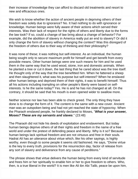their increase of knowledge they can afford to discard old treatments and resort to new and efficacious ones.

We wish to know whether the action of ancient people in depriving others of their freedom was solely due to ignorance? No. It had nothing to do with ignorance or knowledge. Human beings were fully aware of their actions which served their interests. Was their lack of respect for the rights of others and liberty due to the forms the law took? If so, could a change of law bring about a change of behavior? For example, did the abolition of slavery in America really put an end to slavery? Or did it only change the form of slavery without changing the context? Was this disregard of the freedom of others due to their way of thinking and their philosophy?

It was none of these; it was nothing but self-interest. As an individual, the human being sought only to secure maximum profit for himself and get benefit from every possible means. Other human beings were one such means for him and he used them in the same way that he used wood, stone, iron and domestic animals. When he planted a tree or cut it down, the last thing that he cared about was the tree itself. He thought only of the way that the tree benefitted him. When he fattened a sheep and then slaughtered it, what was his purpose but self-interest? When he enslaved other human beings and deprived them of their rights, it was to benefit himself. Thus all his actions including trampling on other people's liberty were based on selfinterests. Is he the same today? Yes. He is and he has not changed at all. On the contrary, it should be said that his mouth is even opened wider to swallow more.

Neither science nor law has been able to check greed. The only thing they have done is to change the form of it. The content is the same with a new cover. Ancient man was an outspoken being and had not yet reached the state of hypocrisy. When the Pharaoh enslaved people, he frankly declared to Moses, "**What is your answer, Moses? These are my servants and slaves**." (23:48)

The Pharaoh did not hide his deeds of exploitation and enslavement. But today human beings deprive others of all their rights and freedom in the name of a free world and under the pretext of defending peace and liberty. Why is it so? Because human beings lack spiritual freedom and are not virtuous and free in their souls. Hadrat Ali has an utterance about virtue which, like his other sayings, is highly worthy, even though to some people it seems old fashioned. He says, "Divine virtue is the key to every truth, provisions for the resurrection day, factor of release from any sort of slavery and deliverance from any cause of perditions."

The phrase shows that virtue delivers the human being from every kind of servitude and frees him or her spiritually to enable him or her to give freedom to others. Who, then, is a true liberal in the world? It is men like Ali ibn Abi Talib, peace be upon him,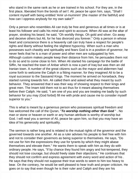who stand in the same rank as he or are trained in his school. For they are, in the first place, liberated from the bonds of sel f. Ali, peace be upon him, says, "Shall I content myself with being entitled 'Amir ul-muminim' (the master of the faithful) and how can I oppress anybody for my own sake?"

Only a person who resembles Ali can truly be free and generous at all times or is at least his follower and calls his mind and spirit to account. When Ali was at the altar of prayer, stroking his beard, he said, "Oh worldly things. Oh gold and silver. Go away and deceive others but Ali, for he has divorced you forever." Only a person in whose heart and conscience there is a heavenly call can truly have a respect for people's rights and liberty without feeling the slightest hypocrisy. When such a man who possesses such chastity and spirituality and fears God is in a position of governor, he never feels that he is a man of power and other men are subjugated by him. Although custom makes people keep their distance from him, he persuades them not to do so and to come close to him. When Ali started his campaign for the battle of Siffin, he reached the town of Anbar which is now a part of Iraq but was then an old Iranian town. A number of the great citizens such as the mayor and aldermen had come forth to welcome the Caliph in a fitting manner, for they imagined Ali to be a royal successor to the Sassanid Kings. The moment he arrived on horseback, they started running towards him. Ali called them and asked what they meant by such behavior. They answered that it was their way of showing respect to their kings and great men. The Imam told them not to act thus for it meant abasing themselves before their Caliph. He said, "I am one of you and you are treating me badly by such behavior for you may (God forbid) fill me with pride and cause me to consider myself superior to you."

This is what is meant by a generous person who possesses spiritual freedom and has welcomed the call of the Quran, "**To worship nothing other than God** " . No man or stone or heaven or earth or any human attribute is worthy of worship but God. I will read you a sermon of Ali, peace be upon him, so that you may have an idea of his generosity and spirituality.

The sermon is rather long and is related to the mutual rights of the governor and the governed towards one another. Ali as a ruler advises his people to feel free with him and not to consider their governors as being superior to themselves. He says, "Do not use for him the expressions they use for tyrants by which they might abase themselves and elevate them." He wants them to speak with him as they do with ordinary people. He says, "If by chance they found him angry and hot-tempered, they should not lose courage, but should freely state their objections." He continues that they should not confirm and express agreement with every word and action of his . He says that they should not suppose their true words to seem to him too heavy to bear. On the contrary, he would be well pleased to hear truth and proper criticism. He goes on to say that even though he is their ruler and Caliph and they are his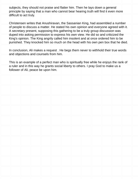subjects, they should not praise and flatter him. Then he lays down a general principle by saying that a man who cannot bear hearing truth will find it even more difficult to act truly.

Christensen writes that Anushiravan, the Sassanian King, had assembled a number of people to discuss a matter. He stated his own opinion and everyone agreed with it. A secretary present, supposing this gathering to be a truly group discussion was duped into asking permission to express his own view. He did so and criticized the King's opinion. The King angrily called him insolent and at once ordered him to be punished. They knocked him so much on the head with his own pen box that he died.

In conclusion, Ali makes a request . He begs them never to withhold their true words and objections and counsels from him.

This is an example of a perfect man who is spiritually free while he enjoys the rank of a ruler and in this way he grants social liberty to others. I pray God to make us a follower of Ali, peace be upon him.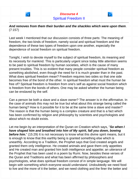<span id="page-24-0"></span>

Last week I mentioned that our discussion consists of three parts: The meaning of freedom, the two kinds of freedom, namely social and spiritual freedom and the dependence of these two types of freedom upon one another, especially the dependence of social freedom on spiritual freedom.

Tonight, I wish to devote myself to the subject of spiritual freedom, its meaning and its necessity for mankind. This is particularly urgent since today little attention seems to be paid to spiritual freedom by human societies, which is the cause of many present troubles. This is so evident that many people consider spiritual freedom as something abolished, even though the need for it is much greater than in the past. What does spiritual freedom mean? Freedom requires two sides so that one side becomes free of the bond of the other. In spiritual freedom what must the human be free of? Spiritual freedom is freedom from one's self as against social freedom which is freedom from the bonds of others. One may be asked whether the human being can be enslaved by the self.

Can a person be both a slave and a slave owner? The answer is in the affirmative. In the case of animals this may not be true but what about this strange being called the human being? How is it possible for it to be at the same time a slave and master? The reason is that the human being is a complex creature and that is a fact which has been confirmed by religion and philosophy by scientists and psychologists and about which no doubt exists.

Let me begin by an interpretation of the Quran on Creation which says, "**So when I have shaped him and breathed into him of My spirit, fall you down, bowing before him.**" (15:29) It is not necessary to know what this divine spirit means, but it is enough to know that this earthly being is granted something else which is unearthly. According to a Tradition, the Prophet says that God created angels and granted them only intelligence. He created animals and gave them only appetites and He created man and granted him both intelligence and appetite; an utterance of the Prophet that has been used in a poem by Rumi. Now, besides these verses of the Quran and Traditions and what has been affirmed by philosophers and psychologists, what does spiritual freedom consist of in simple language. We will begin with something which everyone would understand. Undoubtedly we need food to live and the more of it the better, and we need clothing and the finer the better and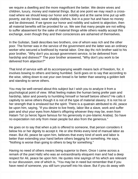we require a dwelling and the more magnificent the better. We desire wives and children, luxury, money and material things. But at one point we may reach a crossroad where we should keep our honor and nobility and at the same time put up with poverty, eat dry bread, wear shabby clothes, live in a poor hut and have no money and be distressed. If we ignore our honor and nobility and submit to abjection, then all material benefits will be provided for us. We see that many people are not willing to suffer abasement for the sake of material things while others readily accept this exchange, even though they and their consciences are ashamed of themselves.

In the Gulistan, Saidi describes two brothers, one of whom was rich and the other poor. The former was in the service of the government and the latter was an ordinary worker who secured a livelihood by manial labor. One day thc rich brother said to his poor brother, "Why don't you accept government service, to be delivered from hardship and distress?" The poor brother answered, "Why don't you work to be delivered from abjection?"

That kind of service with all its accompanying wealth means lack of freedom, for, it involves bowing to others and being humbled. Sa'di goes on to say that according to the wise, sitting down to eat your own bread is far better than wearing a golden belt and standing to serve others.

You may be well-versed about this subject but I wish you to analyze it from a psychological point of view. What feeling makes the human being prefer pain and hardship, labor and poverty to humbling himself or herself betore others? He calls it captivity to serve others though it is not of the type of material slavery. It is not his or her strength that is enslaved but the spirit. There is a quatrain attributed to Ali, peace be upon him, saying, "If you desire to live freely, labor like a slave, work and suffer pain and shut your eyes from Adam's offspring whoever they may be, even from Hatam Ta'i (a heroic figure famous for his generosity in pre-Islamic Arabia). So have no expectation not only from mean people but also from the generous."

He goes on to say that when a job is offered to someone, that person considers it below his or her dignity to accept it. He or she thinks every kind of manual labor as mean. But Ali, peace be upon him, believes that every kind of work and labor is better than extending your hand before others begging for something. He says, "Nothing is worse than going to others to beg for something."

Having no need of others means being superior to them. Once I came across a remark of the poet Hafiz who was an extraordinarily eloquent man and had a deep respect for Ali, peace be upon him. He quotes nine sayings of his which are relevant to our discussion, one of which is, "You may be in need but remember that if you have need of someone, you still turn yourself into his slave. But if you do away with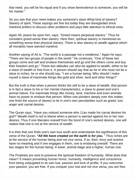that need, you will be his equal and if you show benevolence to someone, you will be his master."

So you see that your need makes you someone's slave What kind of slavery? Slavery of spirit. These sayings are fine but today they are disregarded since mankind prefers to discuss other problems and pays little attention to ethical ones.

Again Ali, peace be upon him, says, "Greed means perpetual slavery." Thus he considers greed worse than slavery. Here then, spiritual slavery is mentioned as something worse than physical slavery. There is also slavery to wealth against which all moralists have warned mankind.

Another saying of Ali is, "The world is a passage not a residence." Again he says, "There are two groups of people in the world." He continues, "One of these two groups come and sell and enslave themselves and go and the others come and buy their freedom and go." These two attitudes can also be applied to wealth, either to be a slave of wealth or free from it. A person should say that as he or she must not be a slave to riches, he or she should say, "I am a human being. Why should I make myself a slave of inanimate things like gold and silver, land and other things?"

But the truth is that when a person thinks the self to be a slave of wealth, that person is in fact a slave to his or her mental characteristics, a slave to greed and one's animal nature. For inanimate things like money, land, machine and even animals have no power to enslave that person. When one ponders deeply over this matter, one finds the source of slavery to lie in one's own peculiarities such as greed, lust, anger and carnal desires.

The Quran says, "Have you noticed someone who 11as made his carnal desires his god?' Wealth itself is not to blame when a person is warned against his or her own desires. Thus if one liberates oneself from the bond of one's wicked desires, one will realize that one is not at the service of wealth.

It is then that one finds one's own true worth and understands the significance of this verse of the Quran, **"All We have created on the earth is for you.** " Thus riches are at the service of the human being and not vice versa. If so, then, envy and avarice have no meaning and if one engages in them, one is enslaving oneself. There are two stages for the human being: A lower, animal stage and a higher, human one.

The Prophets are sent to preserve the spiritual freedom of humanity. What does that mean? It means preventing human honor, humanity, intelligence and conscience from being subjugated to its own lust, passion and love of profits. If you overcome your passion, you are free. If you conquer your lust and not vice versa, you are free.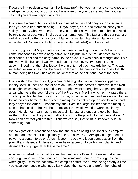If you are in a position to gain an illegitimate profit, but your faith and conscience and intelligence forbid you to do so, you have overcome your desire and then you can say that you are really spiritually free.

If you see a woman, but you check your lustful desires and obey your conscience, then you are a free human being. But if your eyes, ears, and stomach incite you to satisfy them by whatever means, then you are their slave. The human being is ruled by two types of ego: An animal ego and a human one. This fact and this contrast are well illustrated by Rumi in a story of Majnun (in eastern literature, Majnun is the equivalent of Romeo and Laila is the equivalent of Juliet) and the camel.

The story goes that Majnun was riding a camel intending to visit Laila's home. The camel happened to have a baby camel and Majnun, in order to ride faster to his destination, confined the baby camel to the house. He was deep in thought about his Beloved while the camel was worried about its young. Every moment Majnun absentmindedly let the reins loose, the camel turned back towards home. This was repeated several times until the camel collapsed. The poet digresses to say that thc human being has two kinds of inclinations: that of the spirit and that of the body.

If you wish to be free in spirit, you cannot be a glutton, a woman-worshipper, a money-lover, a lustful person of passion. I have come across a narrative in the Nahj ulbalagha which says that one day the Prophet went among the Companions (the ansar who were the poor followers of the Prophet in Medina who had migrated there. The Prophet first let them stay in a mosque, but a divine command was issued to him to find another home for them since a mosque was not a proper place to live in and they obeyed the order. Subsequently, they lived in a large shelter near the mosque). One of them said to the Prophet, "I feel as if the whole world is worthless in my eyes." He did not mean that he made a similar use of stones and gold but that neither of them had the power to attract him. The Prophet looked at him and said, " Now I can say that you are free." Thus we can say that spiritual freedom is in itself something real.

We can give other reasons to show that the human being's personality is complex and that one can either be spiritually free or a slave. God Almighty has granted this power to a person to be one's own judge. In society, a judge stands apart from the plaintiff and defendant. Have you ever heard a person to be his own plaintiff and defendant and judge, all at the same time?

A person is called just. What is a just human being? Does it not mean that a person can judge impartially about one's own problems and issue a verdict against one when guilty? Does this not show the complex nature the human being? Many a time you have seen people who judge fairly about themselves and prefer the rights of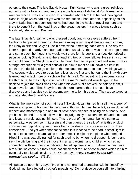others to their own. The late Sayyid Husain Kuh Kamari who was a great religious authority with a following and an uncle o the late Ayatullah Hujjat Kuh Kamari who was our teacher was such a man. It is narrated about him that he had theological class in Najaf which had not yet won the reputation it had later on, especially as his stay in Najaf had not been long for he had been in the habit of travelling here and there to benefit from the teachings of the great masters in various towns such as Mashhad, Isfahan and Kashan.

The late Shaykh Ansari who was dressed poorly and whose eyes suffered from trachoma happened to teach in the same mosque as Sayyid Husain, each in turn, the Shaykh first and Sayyid Husain next, without meeting each other. One day the latter happened to arrive an hour earlier than usual. As there was no time to go home and come back, he thought he would wait there for his pupils to arrive. He noticed a peculiar looking Shaykh sitting there teaching two or three fellows. He sat in a corner and could hear the Shaykh's words. He found them to be profound and wise. It was a strange experience for a great scholar like him to meet an unknown but erudite teacher. He decided to go earlier to the mosque once more to see how things went. The second visit proved to be as beneficial as the first and he found the Shaykh very learned and in fact more of a scholar than himself. On repeating the experience for the third time, he was fully convinced of the man's profound knowledge. So he decided to join the small class and when his own pupils arrived, he said to them,"I have news for you. That Shaykh is much more learned than I am as I have discovered and I advise you to accompany me to join his class." They arose together and attended the Shaykh's class.

What is the implication of such fairness? Sayyid Husain turned himself into a pupil of Ansari and gave up his claim to being an authority. He must have felt, as we do, what respect and mastership are and must have been pleased at being an authority. And yet his noble and free spirit allowed him to judge fairly between himself and that man, and issue a verdict against himself. This is proof of the human being's complex personality. A person commits a sin and then blames the self. What is this prick of conscience? Exploiting governments train individuals in such a way as to kill their conscience . And yet when that conscience is supposed to be dead, a small light is noticed to scatter its beams at its proper time. The pilot of the plane who bombed Hiroshima was actually trained for such a crime but when he dropped his bomb and saw the city burning and the innocent men and women and children who had no connection with war, being annihilated, he felt spiritually sick. In America they gave him a fine welcome but they could not check that torture of conscience which led him eventually to a lunatic asylum. The Quran says, **"Nay, I swear by the Selfreproaching soul ...** " (75:2).

Ali, peace be upon him, says, "He who is not granted a preacher within himself by God, will not be affected by other's preaching." Do not deceive yourself into thinking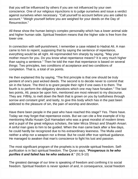that you will be influenced by others if you are not influenced by your own conscience. One of our religious injunctions is to judge ourselves and issue a verdict against ourselves when necessary. "Call yourself to account before you are called to account." "Weigh yourself before you are weighed for your deeds on the Day of Resurrection."

All these show the human being's complex personality which has a lower animal side and higher human side. Spiritual freedom means that the higher side is free from the lower one.

In connection with self-punishment, I remember a case related to Hadrat Ali. A man came to him to repent, supposing that by saying the sentence of repentance, everything would be all right. Ali reprimanded him sharply by saying, "May your mother mourn for you. Do you know what repentance means? It is very much higher than saying a sentence." Then he told the man that repentance is based on several things: Two principles, two conditions of acceptance and two conditions of completion. That is, a total of six points.

He then explained this by saying, "The first principle is that one should be truly penitent of one's past wicked deeds. The second is to decide never to commit that sin in the future. The third is to grant people their right if one owes it to them. The fourth is to perform the obligatory devotions which one may have forsaken." The last two points, Ali, peace be upon him, mentioned are most relevant to my discourse. They are: Fifthly, to melt down the flesh that is grown on you by lustfulness through sorrow and constant grief; and lastly, to give this body which has in the past been addicted to the pleasure of sin, the pain of worship and devotion.

Have there been people in the past who have reached this stage? Yes. There have. Today we may forget that repentance exists. But we can cite a fine example of it by mentioning Mulla Husain Quli Hamadani who was a great moralist of modern times and a pupil of the great religious scholars, the later Mirza Shirazi and Shaykh Ansari. A sinful man goes to him to be guided. When the man came back after a few days, he could hardly be recognized due to his extraordinary leanness. The Mulla used neither a whip nor a weapon nor a threat. But he could offer true spiritual guidance. He managed to awaken that man's conscience to fight his lust and passion.

The most significant program of the prophets is to provide spiritual freedom. Selfpurification is in fact spiritual freedom. The Quran says, "**Prosperous is he who purifies it and failed has he who seduces it**." (91:9-10)

The greatest damage of our time is speaking of freedom and confining it to social freedom. Spiritual freedom is never spoken of and, in consequence, social freedom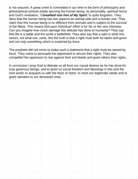is not secured. A great crime is committed in our time in the form of philosophy and philosophical schools totally ignoring the human being, its personality, spiritual honor and God's revelation, "**I breathed into him of My Spirit**,"is quite forgotten. They deny that the human being has two aspects an animal side and a human one. They claim that this human being is no different from animals and is subject to the survival of the fittest. This means that each individual' effort is for his or her own interests. Can you imagine how much damage this attitude has done to humanity? They say that life is a battle and the world a battlefield. They also say that a right is what one seizes, not what one ,rants. But the truth is that a right must both be taken and given and not only something which is snatched by force.

The prophets did not come to make such a statement that a right must be seized by force. They came to persuade the oppressed to secure their rights. They also compelled the oppressor to rise against their evil deeds and grant others their rights.

In conclusion I pray God to liberate us all from our carnal desires as he has done for truly generous beings; and to grant us social freedom and blessings in this and the next world; to acquaint us with the facts of Islam; to meet our legitimate needs and to grant salvation to our deceased ones.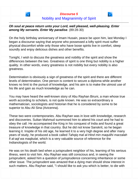### <span id="page-31-0"></span>**Oh soul at peace return unto your Lord, well pleased, well-pleasing. Enter among My servants. Enter My paradise**. (89:28-30)

On the holy birthday anniversary of Imam Husain, peace be upon him, last Monday I began a discourse saying that anyone who possessed a lofty spirit must suffer physical discomfort while only those who have loose spirits live in comfort, sleep soundly and enjoy delicious dishes and other benefits.

Tonight, I wish to discuss the greatness and nobility of the spirit and show the differences between the two. Greatness of spirit is one thing but nobility is a higher quality. In other words, every greatness is not nobility but every nobility is also greatness.

Determination is obviously a sign of greatness of the spirit and there are different levels of determination. One person is content to secure a diploma while another knows no limit to the pursuit of knowledge, and his aim is to make the utmost use of his life and gain as much knowledge as he can.

You may have heard the well-known story of Abu Rayhan Biruni, a man whose true worth according to scholars, is not quite known. He was so extraordinary a mathematician, sociologists and historian that he is considered by some to be superior to Abu Ali Sina (Avicenna).

These two were contemporaries. Abu Rayhan was in love with knowledge, research and discoveries. Sultan Mahmud summoned him to attend his court and he had to obey the call. He accompanied the King in his conquest of India and found a great treasure of knowledge in that country. But he did not know Sanskrit, so he began learning it. Inspite of his old age, he learned it to a very high degree and after many years of study, he produced a book called Tahqiq mal al-Hind min maqulihi marzalah fi al-aql wa maqbulat, which is a very valuable source of reference for the Indianologists of the world.

He was on his death bed when a jurisprudent neighbor of his, learning of his serious illness, went to visit him. Abu Rayhan was still conscious and, in seeing the jurisprudent, asked him a question of jurisprudence concerning inheritance or some other issue. The jurisprudent was amazed that a dying man should show interest in such matters. Abu Rayhan said, "I should like to ask you which is better, to die with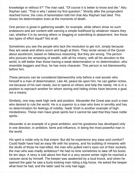knowledge or without it?" The man said, "Of course it is better to know and die." Abu Rayhan said, "That is why I asked my first question." Shortly after the jurisprudent reached home, the cries of lamentation told him that Abu Rayhan had died. This shows his determination even at the moments of death.

One person is great in gathering wealth, for example, while others show no such endeavors and are content with earning a simple livelihood by whatever means they can, whether it is by serving others or begging or submitting to abasement. Are those two types of effort equal? Not at all.

Sometimes you see the people who lack the resolution to get rich, simply because they are weak and others scorn and laugh at them. They recite verses of the Quran about asceticism, based on fallacious reasoning. But they are wrong. The person who pursues the amassing of wealth, with all his misery, with all his devotion to the world, is still better than those having a weak determination or no determination, who resemble beggars and thus, he has more character. This person is not blameworthy before him.

These persons can be considered blameworthy only before a real ascetic who himself is a man of determination. Like Ali, peace be upon him, he can gather riches, not because of his own needs, but to spend on others and help the needy. He is in a position to reproach another for whom storing and hiding riches have become a goal, not a means.

Similarly, one may seek high rank and position. Alexander the Great was such a man who desired to rule the world. He is a superior to a man who lives in servility and has no determination for feelings of nobility. Nadir Shah is another example of highmindedness. These men have great spirits but it cannot be said that they have noble spirits.

Alexander is an example of a great ambition, and his greatness has developed only in one direction, in ambition, fame and influence, in being the most powerful man in the world.

His spirit is noble only to that extent. But did he experience any ease and comfort? Could Nadir have had an easy life with his tyranny, and his building of minarets with the skulls of those he had killed, the man who pulled men's eyes out of their sockets, the man who was madly ambitious? He had no time sometimes to take off his boots for ten days. A story is told about him that in a very severe winter night he reached a caravan serai by himself. The keeper was awakened by a loud knock, and when he opened the gate he saw a burly-looking man riding a big horse. He asked the keeper what food he had, and the latter said he only had eggs.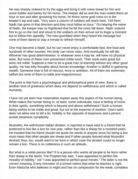He was sharply ordered to fry the eggs and bring it with some bread for him and some fodder and barley for his horse. The keeper did so and the man rested there an hour or two and after grooming his horse, he threw some gold coins on to the keeper's lap and said, "Very soon a column of soldiers will reach here. Tell them Nadir has gone in that direction and they must follow at once." On hearing the name of Nadir, the keeper was so frightened that he let the coins fall down. Nadir ordered him to go on the roof and shout to the soldiers on their arrival not to linger a moment but to follow him speedily. The men grumbled when they heard the message but none of them dared to stay a minute to refresh himself.

One may become a Nadir, but he can never enjoy a comfortable bed, fine food and hundreds of other luxuries. His body can never relax. And eventually he will die. Whoever has great determination, in whatever area it may be, will have no physical ease. But none of these men possessed noble souls. Their souls were great but were not noble. Suppose a man to be a great man of learning without any other good quality. He has lofty thoughts about human knowledge. Another is skillful in gathering wealth. Someone else is full of rancour, envy or ambition. All of them are extremely selfish but none of them is noble and magnanimous.

The point is that from a psychological and philosophical point of view, there is another kind of greatness which does not depend on selfishness and which is called humanity.

I have not yet seen how materialists explain away this aspect of the human being. What makes the human being or, at least, some individuals, have a feeling of honor in their spirits, something which is beyond and above selfishness? Such a human being wishes to be noble and great, but not at the expense of another. One's spirit does not allow one to tell a lie. Nobility is the opposite of baseness and a person avoids baseness completely.

Mussolini, the well-known Italian dictator, is reported to have said to a friend that he preferred to live like a lion for one year, rather than like a sheep for a hundred years. He insisted that his friend should not quote his words to anyone since his being a lion must mean that other people are sheep and if other people learned what Mussolini desired, they, too, would want to be lions in which case the dictator could no longer remain a lion. There is no nobleness in such an attitude.

But what is a noble person like? It is a person who wants all people to be lions rather than sheep in the world. The Prophet has said, "I was appointed to perfect the morality of nobility," not "I was appointed to perfect good morals." The latter is not the correct meaning. Every innovator of a school claims that what he teaches is right. Even Nietzche who believes in might and has no compassion for the weak, considers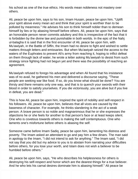his school as one of the true ethics. His words mean nobleness not mastery over others.

Ali, peace be upon him, says to his son, Imam Husain, peace be upon him, "Uplift your spirit above every mean act and think that your spirit is worthier than to be polluted by meanness." He advises his son to think himself nobler than to demean himself by lies or by abasing himself before others. Ali, peace be upon him, says that an honorable person never commits adultery and this is irrespective of the fact that it is forbidden by the divine law and punishable in both worlds. In the epic of the Nahj ul-balagha it is said that in the first encounter of Ali, peace be upon him, with Mu'awiyah, in the Battle of Siffin, the Imam had no desire to fight and wished to settle matters through letters and emissaries. But when Mu'awiyah seized the access to the waters of the Euphrates to prevent Ali's army from reaching it, hoping to inflict defeat on them through lack of water, he wrote a letter asking Mu'awiyah to desist from such strategy since fighting had not begun yet and there was the possibility of reaching an agreement.

Mu'awiyah refused to forego his advantage and when Ali found that his insistance was of no avail, he gathered his men and delivered a discourse saying, "These people are seeking war like food. If so, do you know what should be done? You are thirsty and there remains only one way, and that is to quench your swords with their blood in order to satisfy yourselves. If you die victoriously, you are alive but if you live in defeat, you are dead."

This is how Ali, peace be upon him, inspired the spirit of nobility and self-respect in his followers. Ali, peace be upon him, believes that all vices are caused by the baseness of character. For example, he thinks slandering is the act of a weak person. A brave person is so noble and magnanimous that he or she expresses the objections he or she feels for another to that person's face or at least keeps silent. One who is covetous towards others is making the self contemptuous. One who laments one's misfortune before others is abasing the self.

Someone came before Imam Sadiq, peace be upon him, lamenting his distress and poverty. The Imam asked an attendant to go and pay him a few dinars. The man said in apology to the Imam, "I did not intend to ask for anything." The Imam said, "I did not say that you did but my advice to you is to abstain from narrating your difficulties before others, for you lose your worth, and Islam does not wish a believer to be humbled before others."

Ali, peace be upon him, says, "He who describes his helplessness for others is destroying his self-respect and honor which are the dearest things for a true believer. And he who lets his carnal desires dominate him is abasing himself." Ali peace be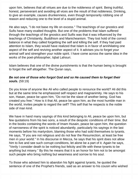upon him, believes that all virtues are due to the nobleness of spirit. Being truthful, honest, perseverant and avoiding all vices are the result of that nobleness. Drinking, to give an example, causes drunkenness, even though temporarily robbing one of reason and reducing one to the level of a stupid animal.

He also says, "I do not base my life on excess." The teachings of our gnostics and Sufis have many exalted thoughts. But one of the problems that Islam suffered through the teachings of the gnostics and Suifis was that it was influenced by the teachings of Christianity, Buddhism and Manicheanism. They lost hold of the correct balance in what they called forgetting the self and killing the self. If they had paid attention to Islam, they would have realized that Islam is in favor of annihilating one aspect of the self and reviving another aspect of it. It advises you to forget your animal self and strengthen your noble spirit. I have come across the same idea in the works of the poet-philosopher, Iqbal Lahouri.

Islam believes that one of the divine punishments is that the human being is brought to forget the self altogether. The Quran says,

### **Be not one of those who forgot God and so He caused them to forget their souls.** (59:19)

Do you know of anyone like Ali who called people to renounce the world? Ali did this but at the same time he emphasized self respect and magnanimity. He says to his son, Hasan, peace be upon him, "Do not be the slave of another being. God has created you free." How is it that Ali, peace be upon him, as the most humble man in the world, invites people to regard the self? This self that he respects is the noble side of man kind.

We have in hand many sayings of this kind belonging to Ali, peace be upon him, but few quotations from his two sons, a result of the despotic conditions of their time. But in the books containing the words of Imam Husain, peace be upon him, the question of narrowness of the spirit is noticed abundantly, particularly his sayings in the last moments before his martyrdom, blaming those who had sold themselves to tyrants. He says, "If you are not religious and do not fear the Resurrection, at least be free men in your world." In his discourse in Mecca, he says that his spirit does not allow him to live and see such corrupt conditions, let alone be a part of it. Again he says, "Verily I consider death to be nothing but felicity and life with these tyrants to be anything but misery." By this he means that it is an honor for him not to be amongst such people who bring nothing but weariness and sorrow to his soul.

To those who advised him to abandon his fight against tyrants, he quoted the sentence of one of the Prophet's friends, said as an answer to his cousin who wished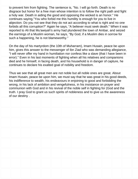to prevent him from fighting. The sentence is, "No. I will go forth. Death is no disgrace but honor for a free man whose intention is to follow the right path and fight a holy war. Death in aiding the good and opposing the wicked is an honor." He continues saying,"You who forbid me this humility is enough for you to live in abjection. Do you not see that they do not act according to what is right and no one forbids all this corruption?" Again he says, "A believer must seek death." When it was reported to Ali that Mu'awiyah's army had plundered the town of Ambar, and seized the earnings of a Muslim woman, he says, "By God, if a Muslim dies in sorrow for such a happening, he is not blameworthy."

On the day of his martyrdom (the 10th of Muharram), Imam Husain, peace be upon him, gives this answer to the messenger of Ibn Ziad who was demanding allegiance, "I will never offer my hand in humiliation nor confess like a slave (that I have been in error)." Even in his last moments of fighting when all his relatives and companions died and he himself, in facing death, and his household is in danger of capture, he continues to declare his exalted goal of nobility and freedom.

Thus we see that all great men are not noble but all noble ones are great. About Imam Husain, peace be upon him, we must say that he was great in his good deeds, his indifference to wealth, his endeavours in enjoining to good and forbidding the wrong, in his lack of ambition and vengefulness, in his insistance on prayer and communion with God and in his revival of the noble self in fighting for (God and the truth. I pray God to grant us such spirits of nobleness and to give us the awareness of our destiny .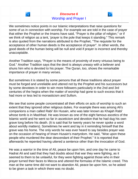## **Discourse 6** Worship and Prayer I



We sometimes notice points in our Islamic interpretations that raise questions for some of us in connection with worship. For example we are told in the case of prayer that either the Prophet or the Imams have said, "Prayer is the pillar of religion," or if we think of religion as a tent, 'prayer is the pole that keeps it standing." This remark is also quoted from the narrations attributed to the Prophet, "The requisite for the acceptance of other human deeds is the acceptance of prayer". In other words, the good deeds of the human being will be null and void if prayer is incorrect and thereby unacceptable.

Another Tradition says, "Prayer is the means of proximity of every virtuous being to God." Another Tradition says that the devil is always uneasy with a believer and shuns him who is devoted to his prayer. The Quran, too, shows the remarkable importance of prayer in many verses.

But sometimes it is stated by some persons that all these traditions about prayer must be forged and unreliable and uttered not by the Prophet and his successors but by some devotees in order to win more followers particularly in the 2nd and 3rd centuries of the hegira when the matter of worship had gone to such excess that it had more or less led to monasticism and Sufism.

We see that some people concentrated all their efforts on acts of worship to such an extent that they ignored other religious duties. For example there was among Ali's companions a man called Rabi' ibn Husain, who was later known as Khajah Rabi' whose tomb is in Mashhad. He was known as one of the eight famous ascetics of the Islamic world and he went so far in asceticism and devotion that he had dug his own grave long before his death. (It is said that for twenty years he never spoke a word about worldly matters). Sometimes he went and lay in it reminding himself that the grave was his home. The only words he was ever heard to say besides prayer was on the occasion of hearing of Imam Husain's martyrdom. He said, "Woe upon these people who murdered the dear descendant of their Prophet." It is reported that afterwards he repented having uttered a sentence other than the invocation of God.

He was a warrior in the time of Ali, peace be upon him, and one day he came to Hadrat Ali and said that they had doubts about that war they were fighting, as it seemed to them to be unlawful, for they were fighting against those who in their prayer turned their faces to Mecca and uttered the formulas of the Islamic creed. This man at the same time did not want to abandon Ali, peace be upon him, so he asked to be given a task in which there was no doubt.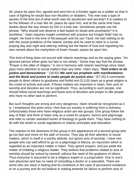Ali, peace be upon him, agreed and sent him to a frontier again as a soldier so that in case of fighting he would face non-Muslims or idolaters. This man was a type of ascetic of the time but of what worth was his asceticism and worship? It is useless to be the follower of a man like Ali, peace be upon him, and at the same time have doubts about the way shown by him in a holy war. Sometimes people use the phrase, "Why should one observe a fast based on doubt and uncertainty? It is worthless." Islam requires insight combined with practice but Khajah Rabi' had no insight. He lived in the time of Mu'awiyyah and his son Yazid. He had nothing to do with the social problems of the Islamic society and he used to retire to a corner praying day and night and uttering nothing but the Name of God and regretting his own remark about the martyrdom of Imam Husain, peace be upon him.

This kind of thing does not accord with Islamic teachings and as the saying goes, "An ignorant person either goes too fast or too slowly." Some may say that the phrase, "Prayer is the pillar of religion," is not in harmony with Islamic teachings since Islam pays more attention to social matters than any other. Islam says**, "God orders to do justice and benevolence**. " (16:92) **We sent our prophets with manifestations and the Book and justice to make people do justice also.**" (57:25) It commands people to direct others to goodness and forbid evil (3:110) Islam as a great religion is the creed of activity and work. If these matters are important in Islam, then acts of worship and devotion are not so significant. Thus, according to such people, one should follow social teachings and leave acts of devotion and prayer to idle people who have no other task to perform.

But such thoughts are wrong and very dangerous. Islam should be recognized as it is. I emphasize this point since I feel that our society is suffering from a sickness. Unfortunately those who have religious ardor are two groups: One group follow the way of Rabi' and think of Islam only as a creed for prayers, hymns and pilgrimage and refer to certain standard books of theology to guide them. They have nothing to do with the world or social regulations or Islamic principles and education.

The reaction to the slowness of this group is the appearance of a second group who go too fast and move on the path of excess. They pay all their attention to social matters, which in itself is a worthy attitude, but ignore acts of worship. I have met people who can well afford to go on a pilgrimage to Mecca, an injunction which is regarded as an important matter in Islam. They ignore prayers, and put aside the matter of imitating a religious leader. They believe that problems related to acts of worship should be solved by oneself, without the need of the guidance of others. Thus everyone is assumed to be a religious expert or a jurisprudent. One is one's own physician and has no need of consulting a doctor or a specialist. There are some who are slack in fasting and its conditions in the case of permanent residence or on a journey and do not believe in making amends for failure to perform acts of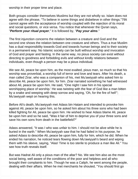worship in their proper time and place.

Both groups consider themselves Muslims but they are not wholly so. Islam does not agree with the phrase, "To believe in some things and disbelieve in other things."79It cannot agree with the acceptance of worship coupled with the rejection of its moral and social questions, or vice versa. You notice that whenever the Quran says, "**Perform your ritual prayer**," it is followed by, "**Pay your alms**."

The first injunction concerns the relation between a creature and God and the second one shows the relation between one creature and others. Thus a true Muslim has a dual responsibility towards God and towards human beings and to their society in a permanent way. No Islamic society can be built without worship and invocation of God and prayer and fasting. In the same way, no pious society can exist without directing to goodness and forbidding evils and without kindly relations between individuals, even though a person may be a pious individual.

We see Ali, peace be upon him, as the most exalted, pious man, so much so that his worship was proverbial, a worship full of terror and love and tears. After his death, a man called Zirar, who was a companion of his, met Mu'awiyyah who asked him to describe Ali, peace be upon him, for him. Zirar narrated something he had witnessed about Ali, peace be upon him. He said, "One night I saw him in his special worshipping place of worship.' He was twisting with the fear of God like a man bitten by a snake and weeping with deep sorrow and saying, 'Oh, for the fire of hell'"; Mu'awiyyah wept on hearing this.

Before Ali's death, Mu'awiyyah met Adass bin Hatam and intended to provoke him against Ali, peace be upon him, so he asked him about his three sons who had been killed fighting for Ali, peace be upon him. He wished to hear Adass blame Ali, peace be upon him and so he said, "Was it fair of him to deprive you of your three sons and save his own sons from death in the battlefield?"

Adass answered, "It was I who was unfair to him. I should not be alive while he is buried in the earth." When Mu'awiyyah saw that he had failed in his purpose, he asked Adass to describe Ali, peace be upon him, fully for him, which he did. When he ended his narration, he noticed tears flowing down Mu'awiyyah's beard and wiping them with his sleeve, saying, "Alas! Time is too sterile to produce a man like Ali." You see how truth reveals itself.

But was Hadrat Ali only a pious man of the altar? No. We see him also as the most social being, well aware of the conditions of the poor and helpless and all who brought their complaints to him. Though he was a Caliph, he went among the people, dealing with their affairs. When he met merchants he shouted, "You should first go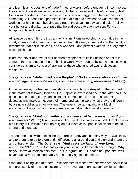and learn Islamic questions of trade." In other words, before engaging in commerce, they should know divine injunctions about what is lawful and unlawful in every deal. He is also reported to have used a phrase to a poor beggar who begged him for something. Ali, peace be upon him, looked at him and saw that he was capable of working but had chosen begging as a trade. He gave him advice and said, "Follow your honor and dignity, " a phrase that he addressed to every person. For work brings dignity and honor.

Ali, peace be upon him, is thus a true Muslim: Pious in worship, a just judge in the court, a brave soldier and commander on the battlefield, a fine orator at the pulpit, a remarkable teacher in his chair, and a wonderful and perfect example in every other accomplishment.

Islam can never approve of half-hearted acceptance of its injunctions or belief in some of them and not in others. This is a wrong way adopted by some ascetics who considered Islam to consist of praying, or those who ignored acts of devotion altogether.

# The Quran says, "**Muhammad is the Prophet of God and those who are with him are hard against the unbelievers, compassionate among themselves.** " (48:29)

In this sentence, the feature of an Islamic community is portrayed. In the first part of it, the matter of following faith and the Prophet is expressed and in the latter part, the question of standing firmly against infidels is mentioned. Thus these seeming devotees who make a mosque their home and say no word when they are driven on by a single soldier, are not Muslims. The most important quality of a Muslim according to the Quran is showing firmness and strength against an enemy.

The Quran says, "**Faint not, neither sorrow; you shall be the upper ones if you are believers**." (3:133) Islam does not allow weakness in religion. Will Durant says in his History of Civilization that no religion but Islam calls upon its followers to be so strong and steadfast.

To bend the neck with helplessness, to dress poorly and in a dirty way, to walk lazily and to pretend to be forelorn and indifferent to all around you and sigh and groan are all contrary to Islam. The Quran says**, "And as for the favor of your Lord, announce (it).**" (93:11) God has given you blessings like health and strength. Why do you show yourself so helpless? This is ingratitude. Ali, peace be upon him, was never such a man. He stood ably and strongly against enemies.

What about being kind to others ? We sometimes meet devotees who are never kind and are usually glum and unsociable. They never laugh and seldom smile as if the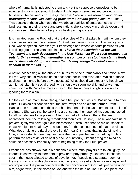whole of humanity is indebted to them and yet they suppose themselves to be attached to Islam. Is it enough to stand firmly against enemies and be kind to Muslims? The answer is no. The Quran says, "**You will see them bowing down, prostrating themselves, seeking grace from God and good pleasure.**" (48:29) This speaks of those who have the two above qualities of steadfastness and kindness and in their prayers and prostrations sink so deeply in their devotion that you can see in their faces all signs of chastity and godliness.

It is narrated from the Prophet that the disciples of Christ asked him with whom they should associate and he answered, "Sit with someone whose sight reminds you of God, whose speech increases your knowledge and whose conduct persuades you into doing good." The verse continues, "**That is their description in the Old Testament and their description in the New Testament like a seed-produce that puts forth its sprout, then strengthens it so it becomes stout and stands firmly on its stem, delighting the sowers that He may enrage the unbelievers on account of them**." (48:29).

A nation possessing all the above attributes must be a remarkably find nation. Now, tell me, why should Muslims be so decadent, docile and miserable. Which of those qualities mentioned before do we possess? What should we expect? Although we admit that Islam is a social creed, why should we scorn worship and prayer and communion with God? Let me assure you that taking prayers lightly is a sin as ignoring them is a sin.

On the death of Imam Ja'far Sadiq, peace be upon him, as Abu Bassir came to offer Umm ul-Hanida his condolences, the latter wept and so did the former. Umm ul-Hanida then narrated something that had happened in the last moments of the life of the Imam. She said that he sank into a trance and then opened his eyes and asked for all his relatives to be present. After they had all gathered there, the Imam addressed them the following remark and then died. He said, "Those who take ritual prayers lightly will never gain our intercession."89You see that he did not speak of those who ignore ritual prayers altogether, for, the consequence of that is obvious. What does 'taking the ritual prayers lightly' mean? It means that inspite of having time, an opportunity, one may postpone them and just before it is getting too late, perform the acts of devotion hastily and perfunctorily, without giving the mind and spirit the necessary tranquility before beginning to say the ritual prayer.

Experience has shown that in a household where ritual prayers are taken lightly, no interest is shown by its members to pray or to pray properly. One should choose a spot in the house allotted to acts of devotion, or, if possible, a separate room for them and carry on with ablution without haste and spread a clean prayer-carpet and accompany all the preliminary acts with the convocation of God. Ali, peace be upon him, began with, "In the Name of God and with the help of God. Oh God place me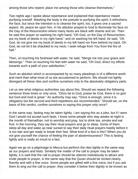among those who repent; place me among those who cleanse themselves."

Two nights ago I spoke about repentance and explained that repentance meant purifying oneself. Washing the body is the prelude to purifying the spirit; it refreshens the face, but since the intention is to cleanse the spirit, too, it gives one a sacred aspect. Ali, peace be upon him, in his ablution prayed to God to illuminate his face on the Day of the Resurrection where many faces are black with shame and sin. Then he said this prayer on washing his right hand, "Oh God, on the Day of Resurrection, put my book of deeds in my right hand," and on washing his left hand, he said, "Oh God, do not give me my book of deeds in my left hand nor from behind my back. Oh God, do not let it be shackled to my neck; I seek refuge from You from the fire of hell."

Then, on touching his forehead with water, he said, "Merge me into your grace and blessings." Then on touching his feet with water he said, "Oh God, direct my efforts towards such a path of your satisfaction."

Such an ablution which is accompanied by so many pleadings is of a different worth and merit than what most of us are accustomed to perform. We should not lightly disregard all these rites and confine ourselves only to the absolutely obligatory parts.

Let us see what religious authorities say about this. Should we repeat the following sentence three times or only once, "Glory be to God, praise be God, there is no god but God and God is great." An authority may say, "Once is enough, since it is obligatory but the second and third repetitions are recommended." Should we, on the basis of this verdict, confine ourselves to saying this prayer only once?

In the same way, fasting may be taken lightly. I am saying this as a joke, but if I were God I would not accept such fasts. I know some people who stay awake at night in the month of Ramadhan, not to worship and pray, but to drink tea, smoke and eat fruit. In the morning, they say their ritual prayers and go to sleep. Some of them sleep all day and wake up near sunset to say their daily ritual prayers hastily before it is too late and get ready to break their fast. What kind of a fast is this? When you do not give yourself the chance of feeling the pain of abstemiousness? This is fasting lightly and is really an insult to a fast.

Again we go on a pilgrimage to Mecca but perform the rites lightly in the same way as our prayers and fasts. Similarly the matter of the call to prayer may be taken lightly; it is said that the call to prayer should be utterest melodiously to attract and invite people to prayer, in the same way that the Quran should be recited clearly, fluently and with a fine voice. Some people are gifted witll a fine voice, but if you ask them to sing out the call to prayer, they consider it below their dignity to be known as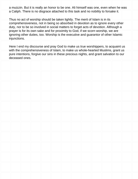a muizzin. But it is really an honor to be one. Ali himself was one, even when he was a Caliph. There is no disgrace attached to this task and no nobility to forsake it.

Thus no act of worship should be taken lightly. The merit of Islam is in its comprehensiveness, not in being so absorbed in devotion as to ignore every other duty, nor to be so involved in social matters to forget acts of devotion. Although a prayer is for its own sake and for proximity to God, if we scorn worship, we are ignoring other duties, too. Worship is the executive and guarantor of other Islamic injunctions.

Here I end my discourse and pray God to make us true worshippers, to acquaint us with the comprehensiveness of Islam, to make us whole-hearted Muslims, grant us pure intentions, forgive our sins in these precious nights, and grant salvation to our deceased ones.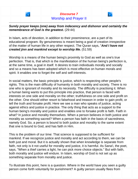

**Surely prayer keeps (one) away from indecency and dishonor and certainly the remembrance of God is the greatest.** (29:44)

In Islam, acts of devotion, in addition to their preeminence, are a part of its educational program. By genuineness is meant being a goal of creation irrespective of the matter of human life in any other respect. The Quran says, "**And I have not created jinn and mankind except to worship Me.** (51:59)

Worship is a means of the human being's proximity to God as well as one's true perfection. That is, that which is the manifestation of the human being's perfection is, at the same time, a goal in itself. It desires to train individuals morally and socially and so a means has been adopted which is most effective on human morals and spirit. It enables one to forget the self and self-interests.

In social matters, the basic principle is justice, which is respecting other people's rights. This is the main difficulty of humanity in both morality and society. There is no one who is ignorant of morality and its necessity. The difficulty is practising it. When a human being wants to put this principle into practice, that person is faced with interests on one side and morality on the other; truthfulness on one side and profit on the other. One should either resort to falsehood and treason in order to gain profit, or tell the truth and forsake profit. Here we see a man who speaks of justice, acting against ethics and justice in practice. The only thing that acts as a support to the human being's morality and justice and enables one to forsake profit is faith. Faith in what? In justice and morality themselves. When a person believes in both justice and morality as something sacred? When a person has faith in the basis of sacredness, namely God. So, a person is bound to both justice and morality to the same extent that one is bound to God, and has faith in Him.

This is the problem of our time: That science is supposed to be sufficient for mankind. If we recognize justice and morality and act according to them, we can be both just and moral. But it is actually shown that when knowledge is separate from faith, not only is it not useful for morality and justice, it is harmful. As Sana'i, the poet, says, "When a thief carries a light, he can pick more choice objects." But with faith, both morality and justice will endure. In Islam, worship of God is not set up as something separate from morality and justice.

To illustrate this point, here is a question. Where in the world have you seen a guilty person come forth voluntarily for punishment? A guilty person usually flees from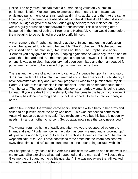justice. The only force that can make a human being voluntarily submit to punishment is faith. We see many examples of this in early Islam. Islam has envisaged punishment for all sins, such as drinking, adultery and theft. At the same time it says, "Punishments are abandoned with the slightest doubt." Islam does not compel a judge or governor to seek out a guilty person; rather it places an urge within a guilty person to come forward for punishment. This kind of thing often happened in the time of both the Prophet and Hadrat Ali. A man would come before them begging to be punished in order to purify himself.

A man came to the Prophet, confessing adultery. In such matters the confession should be repeated four times to be credible. The Prophet said, "Maybe you mean you kissed her?" The man said, "No. It was adultery." The Prophet said again, "Perhaps you only gave her a pinch, " hoping again that he would say ,"Yes," and he would then be pardoned. But the man gave a negative answer. This dialogue went on until it was quite clear that adultery had been committed and the man begged for punishment in order to be relieved of punishment in the next world.

There is another case of a woman who came to Ali, peace be upon him, and said, "Oh Commander of the Faithful, I am married and in the absence of my husband, I have committed adultery and I am now pregnant. I wish to be purified from my sin." Hadrat Ali said, "One confession is not sufficient. It should be repeated four times." Then he said, "The punishment for the adultery of a married woman is being stoned to death. If you are dealt this punishment, what happens to the baby in your womb? The baby has done no wrong and must not be stoned. Go away until your baby is born."

After a few months, the woman came again. This time with a baby in her arms and asked to be purified since the baby was born . This was her second confession. Again Ali, peace be upon him, said, "We might stone you but this baby is not guilty. It needs milk and a mother to nurse it. So, go away now since the baby needs you."

The woman returned home uneasily and after two years reappeared before the Imam, and said, "Purify me now as the baby has been weaned and is growing up." Ali, peace be upon him, said, "Go away. This child still needs a mother." The mother wept and said, "Oh God, I have confessed three times but the Imam has sent me away three times and refused to stone me. I cannot bear being polluted with sin."

As it happened, a hypocrite called Amr bin Hariz saw the woman and asked what the matter was. She explained what had happened and the man said, "I will settle this. Give me the child and let me be his guardian." She was not aware that Ali wanted her not to make the fourth confession.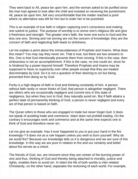They went back to Ali, peace be upon him, and the woman asked to be purified since the man had agreed to look after the child and insisted on receiving the punishment. Ali, peace be upon him, felt very uncomfortable that the matter reached a point where no alternative was left for him but to order her to be punished.

This is an example of true faith in religion capturing one's conscience and making one submit to justice. The purpose of worship is to revive one's religious life and give it freshness and strength. The greater one's faith, the more one turns to God and the less one sins. Sinning and not sinning are not the concern of knowledge; they are the concern of faith and neglecting faith leads to sinfulness.

Let me explain a point about the immaculateness of Prophets and Imams. What does this mean? You may say they never sin. That is true, but there are two answers to this. One is that God intentionally prevents them from sinning. If this is the case, then sinlessness is not an accomplishment. If this is the case, no one could sin, since he is hindered by a power beyond himself. Therefore Prophets and Imams may be supposed to have no superiority over other people except that they are treated discriminately by God. So it is not a question of their desiring to sin but being prevented from doing so by God.

Purity is a high degree of faith in God and thinking constantly of him. A person without faith rarely or never thinks of God; that person is altogether negligent. There are others who are occasionally negligent and commit sins in this state of negligence, but when they turn to God, they naturally avoid sin. But if faith attains a perfect state of permanently thinking of God, a person is never negligent and every act of that person is based on faith.

The Quran refers to those who are engaged in trade but never forget God. It does not speak of avoiding trade and commerce. Islam does not prohibit trading. On the contrary it encourages work and commerce and at the same time expects one to think of God and therefore never sin.

Let me give an example. Has it ever happened to you to put your hand in the fire knowingly-? It does not as a rule happen unless you wish to burn yourself. Why do we avoid fire? Because our knowledge tells us it is dangerous and we are sure of this knowledge. In this way we are pure in relation to fire and our certainty and belief about fire serves as a check.

The friends of God, too, are innocent since they are certain of the burning power of sins and thus, thinking of God and thereby being attached to morality, justice and rights, enables them to avoid sin. In Islam the life of both worlds is inter-related. Christianity, on the other hand, separates the reckoning of each world. For example,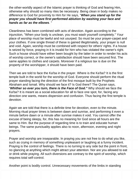the other-worldly aspect of the Islamic prayer is thinking of God and fearing Him, otherwise why should so many rites be necessary. Being clean in body makes no difference to God for proximity to Him for He says, "**When you stand up for the prayer you should have first performed ablution by washing your face and hands as far as the elbows**. "

Cleanliness has been combined with acts of devotion. Again according to the injunction, "When your body is unclean, you must wash yourself completely." Your place of worship must be lawful and not usurped. So must be your prayer-carpet and your clothes. If one single thread of these is gained illegitimately, your prayer is null and void. Again, worship must be combined with respect for others' rights. If a house is seized by force, praying in it is invalid for hirn who has violated the owner's right. Such a house should have either been bought by the latter in order to render his acts of worship correct, or the owner's satisfaction should have been secured first. The same applies to clothes and carpets. Moreover if a religious tax is due on the property of the worshipper, it should have been paid.

Then we are told to face the Ka'ba in the prayer. Where is the Ka'ba? It is the first temple built in the world for the worship of God. Everyone should perform the ritual prayer standing facing the direction of the first mosque built by the Prophets Abraham and Ismail. Why should we face it? Is God there? The Quran says, "**Whither so ever you turn, there is the Face of God."** Why should we face the Ka'ba? It is meant as a social education for all to face one spot, for, facing any direction one wants, means dispersion and confusion. Thus facing the first temple is devotion.

Again we are told that there is a definite time for devotion, even to the minute. Morning ritual prayer times is between dawn and sunrise, and performing it even a minute before dawn or a minute after sunrise makes it void. You cannot offer the excuse of being sleepy, for, this has no meaning for God since all hours are the same to Him. But the purpose of regarding time is to train and educate human beings. The same punctuality applies also to noon, afternoon, evening and night prayers.

Prayer and worship are inseparable. In praying you are not free to do what you like, such as crying in memory of something unpleasant or laughing at a funny incident. Praying is the control of feelings. There is no turning to any side but the point in front, no glancing at anything which might attract your attention. Nor are you allowed to eat or drink while praying. All such diversions are contrary to the spirit of worship, which requires total self-control.

Another point is bodily control. Unnecessary movements of the limbs in standing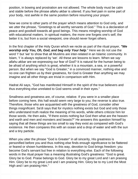position, in bowing and prostration are not allowed. The whole body must be calm and stable before the phrase allahu akbar is uttered. If you feel pain in some part of your body, rest awhile in the same position before resuming your prayer.

Now we come to other parts of the prayer which means attention to God only, and we utter the phrase, "Greetings to all worthy servants of God." This is a declaration of peace and goodwill towards all good beings. This means mingling worship of God with educational matters. In spiritual matters, the more one forgets one's self, the better it is, but from a social viewpoint, one should never forget others.

In the first chapter of the Holy Quran which we recite as part of the ritual prayer, **"We worship only You, Oh, God, and beg only Your help**." Here we do not use the word 'I' but 'we' to show that all Muslims are inter-related in an Islamic community. In Islam, 'I' is always replaced by 'we'. All these are lessons to learn. When we say allahu akbar are we expressing our fear of God? It is natural for the human being to be afraid of anything which is great, whether it is a mountain, a sea, or a powerful person. But when we say "God is Greater," in a convinced manner, nothing else and no one can frighten us by their greatness, for God is Greater than anything we may imagine and all other things are trivial in comparison with Him.

Hadrat Ali says, "God has manifested Himself in the spirit of the true believers and thus everything else unrelated to God seems small in their eyes."

Smallness and greatness are, of course, relative. If you were in a smaller place before coming here, this hall would seem very large to you; the reverse is also true. Therefore, those who are acquainted with the greatness of God, consider other things insignificant. Sa'di says that for mystics nothing exists but God and only those who understand truth realize the meaning of his words, while others criticize him lor those words. He then asks, "If there exists nothing but God then what are the heaven and earth and men and monsters and beasts?" He answers this question himself by saying that all these things are too small to say they exist as compared with God's existence. He then compares this with an ocean and a drop of water and with the sun and a tiny particle.

When you utter the phrase "God is Greater" in all sincerity, His greatness is personified before you and thus nothing else finds enough significance to be flattered or feared or shown humbleness. In this way, devotion to God brings freedom: you become God's servant but free in relation to everything else. Each of the following words in the ritual prayer has a meaning illustrating God's greatness: "God is great. Glory be to God. Praise belongs to God. Glory be to my great Lord and I am praising Him. Glory be to my great Lord and I am praising Him. Glory be to my Lord the Most High and I am praising Him."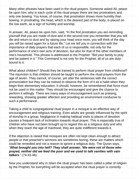Many other phrases have been used in the ritual prayers. Someone asked Ali, peace be upon him, why in each cycle of the ritual prayer there are two prostrations and only one bowing. You know, of course, that prostration shows more humility than bowing. In prostrating, the head, which is the dearest part of the body, is placed on the low earth, as a sign of humility and worship.

In answer, Ali, peace be upon him, said, "In the first prostration you are reminding yourself that you are made of dust and in the second one you remember that you will die and return to dust and by raising your head once more, you will think of the day you will be raised again for a future life." Let me tell you in connection with the importance of daily prayers that each of us is responsible, not only for the performance of one's own acts of devotion, but also for that of the other members of one's household. This phrase is addressed to the Prophet: "Bid your family to pray and be patient in it." This Command is not only for the Prophet; all of us are dutybound to it.

What about children? Should they be trained to perform ritual prayer from childhood? The injunction is that children should be taught to perform the ritual prayers from the age of seven. They cannot, of course, yet utter the sentences with the correct pronunciation but they can be trained to observe the form of it as a habit when they begin their elementary education. It should, however, be remembered that force must not be used in this matter. They should be encouraged and give the chance to perform it willingly. There are many ways of encouragement such as praising, rewarding, showing greater affection and providing an environment conducive to such a performance.

Taking a child to congregational ritual prayer in a mosque is an effective way of encouragement and religious training. Even adults are greatly influenced by the spirit of worship in a group. Negligence in making habitual visits to places of devotion causes a frequent lack of inclination towards ritual prayer. This is especially true of children who have not been brought up to regard this as a religious duty and who when they reach the age of manhood, they are quite indifferent towards it.

If the objection is raised that mosques are often not kept clean enough to attract people or that preacher's sermons are sometimes boring, these are matters which could be remedied and not a reason to ignore a religious duty. The Quran says, "**What brought you into hell? They shall answer, 'We were not of those who prayed, neither did we feed the poor and we used to talk vanities with vain talkers**." (74:43-46)

Now you understand why in Islam the ritual prayer has been called a pillar of religion by the Prophet, for everything will be accepted when the ritual prayer is correctly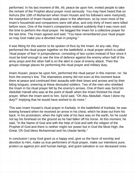performed. In his last moment of life, Ali, peace be upon him, invited people to take the remark of the Prophet about prayer most seriously. You may have heard that on Ashura (the 10th of Muharram when Imam Husain and his followers were martyred), the martyrdom of Imam Husain took place in the afternoon, so by noon most of the Imam's household and companions were still alive, and only thirty of tnem were killed before noon. One of the Imam's companions realized suddenly that it was noon and the time to perform the ritual prayer. He begged the Imam for a collective prayer for the last time. The Imam agreed and said, "You have remembered your ritual prayer so may God make you a devoted man in praying."

It was fitting for this warrior to be spoken of thus by the Imam. At any rate, they performed the ritual prayer together on the battlefield, a ritual prayer which is called 'ritual prayer of fear' in jurisprudence, consisting of two cycles instead of four since it must be brief enough to see the line of defence against the enemy when half of the army prays and the other half is on the alert in case of enemy attack. Then the groups change places for performing the ritual prayer and military duty.

Imam Husain, peace be upon him, performed the ritual paryer in this manner, no'. far from the enemy's line. The shameless enemy did not even at this moment leave them at peace and continued their assaults with their bows and arrows and by their biting tongues, sneering at these devouted soldiers. Two of the men who shielded the Imam in his ritual prayer fell by the enemy's arrows. One of them was Sa'id bin Abdullah Hanafi who was at the point of death when the Imam finished his ritual prayer. When the Imam went to him, Sa'id said, "Oh Abu Abdullah. Have I done my duty?" implying that he would have wished to do more."

This was Imam Husain's ritual prayer in Karbala. In the battlefield of Karbala, he was bowing forward when he received an arrow in his chest, which he draw out from his back. In his prostration, when the right side of his face was on the earth, for he could not lay his forehead on the ground as he had fallen off his horse. At this moment, he said, "In the Name of God and with the help of God and with the religion of the Prophet of God and there is neither might nor power but in God the Most High, the Great. Oh God bless Muhammad and his chaste family."

In conclusion I pray God grant us a happy end, give us the favor of worship and devotion to Him, make us true performers of ritual prayer, make our intentions pure, protect us against jinn and human beings, and grant salvation to our deceased ones.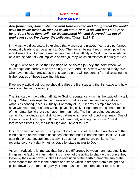



**And (remember) Jonah when he went forth enraged and thought that We would have no power over him, then he called out, "There is no God but You. Glory be to You. I have done evil." So We answered him and delivered him out of grief even so do We deliver the believers.** (Quran 21:87-8)

In my last two discourses, I explained that worship and prayer, if correctly performed, eventually leads to a true affinity to God. The human being, through worship, will be a real servant of God and a real servant has a true affinity to God. In other words, to be a real servant of God implies a sacred journey which culminates in affinity to God.

Tonight I wish to discuss the first stage of the sacred journey, the point where we must begin our journey towards affinity to God. And this is what we need today. We who have not taken any steps in this sacred path, will not benefit from discussing the higher stages of those travelling this path.

If we are practical beings, we should realize the first step and the first stage and how we should begin our worship.

The first step on the path of affinity to God is repentance, which is the topic of my talk tonight. What does repentance means and what is its nature psychologically and what is its consequence spiritually? For many of us, it seems a simple matter but have we ever thought of analyzing it psychologically? Repentance is a characteristic of the human being that sets it apart from animals. The human being possesses certain high aptitudes and distinctive qualities which are not found in animals. One of these is the ability to repent. It does not mean only uttering the phrase, "I seek forgiveness from God, the Most High and I repent to Him."

It is not something verbal. It is a psychological and spiritual state, a revolution of the mind and the above phrase describes that state but it is not the state itself. So if we utter this phrase several times a day, it does not mean we are penitent. True repentance once a day brings us stage by stage nearer to God.

As an introduction, let me say that there is a difference between inanimate and living things in the fact that inanimate things have not the ability to change the course they follow by their own power such as the revolution of the earth around the sun or the movement of the stars in their orbits or a stone which is dropped from a height and pulled down by the force of gravity. There must be an external factor to be able to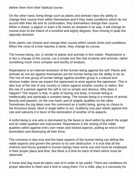deliver them from their habitual course.

On the other hand, living things such as plants and animals have the ability to change their course from within themselves and if they meet conditions which do not accord with their life and its continuation, they themselves change their course. When a sheep, a pigeon or even a fly meets an obstacle in its way, it will change its course even to the extent of a hundred and eighty degrees, thus moving in quite the opposite direction.

Even plants can choose and change their course within certain limits and conditions. When the roots of a tree reaches a stone, they change its course.

The human being, too, is similar to plants and animals in this matter. Repentance is in fact a change of the course, not a simple one like that of plants and animals, rather something much more complex and worthy of analysis.

Repentance is an internal revolution of the human being against the self. Plants and animals do not act against themselves yet the human being has the ability to do so. The rise of one group of human beings against another group is a natural and obvious matter since we expect the oppressed to arise against the oppressor. This is also true of the rise of one country or nation against another country or nation. But the rise of a person against the self is not so simple and obvious. Why does it happen? The reason is that, in spite of having one body, a human being is intellectually and spiritually a complex being. The human being is a mixture of animal ferocity and passion, on the one hand, and of angelic qualities on the other. Sometimes the pig takes over the command as a lustful being, giving no choice to the ferocious beast, devil or angel within to act. Suddenly one part rebels against this rule and subverts it in favor of the domination of another of its aspects.

A sinful being is one who is dominated by the beast or devil within by which the angel and its noble qualities are imprisoned. Repentance is the arising of the noble qualities within against one's own mean and wicked aspects, putting an end to their domination and destroying all their force.

The converse is also true and the base aspects of the human being can defeat the noble aspects and govern the person to its own destruction. It is true that all the instincts and forces granted to human beings have some use and must be employed in their proper place and time. But there is a limit for each of them which must be observed.

A horse and dog must be taken care of in order to be useful. There are conditions for proper attention to them and a limit to using them. For a child, play is a necessity for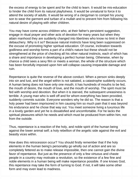the excess of energy to be spent and for the child to learn. It would be mis-education to hinder the child from its natural playfulness. It would be unnatural to force it to attend the society of adults. It would be wrong of a clergyman to compel his young son to wear the garment and turban of a mullah and to prevent him from following his natural desire of playing with other children.

You may have come across children who, at their father's persistent suggestion, engage in ritual prayer and other acts of devotion for many years but when they attain manhood they are suddenly changed into libertines who know no limit in their debauchery. Why is it so? Because natural instincts have long been suppressed on the excuse of promoting higher spiritual education. Of course, inclination towards godliness and worship forms a part of a child's nature but these should not be strengthened at the price of checking all his other natural instincts, each of which has a share and importance in developing a perfect human being. Otherwise, when by chance a child sees a sexy film or meets a woman, the whole of the structure which has been forcefully imposed upon him will collapse causing irreparable damage and ruin.

Repentance is quite the reverse of the above conduct. When a person sinks deeply into sin and lust, and the angel within is not satiated, a catastrophe suddenly occurs. A human being does not have only one mouth; it has hundreds of mouths to be fed, the mouth of desire, the mouth of love, and the mouth of worship. The spirit must be fed with worship and devotion. But when it is starved, the subsequent uneasiness is terrible. A young man who is well off and for whom everything has been provided, suddenly commits suicide. Everyone wonders why he did so. The reason is that a holy power had been imprisoned in him causing him so much pain that it was beyond his endurance and he chose that way out. You meet someone living a luxurious life in a lovely garden and yet he is dissatisfied and uncomfortable. For he lacks the spiritual pleasures which he needs and which must be produced from within him, not from the outside.

Thus, repentance is a reaction of the holy, and noble spirit of the human being against the lower animal self; a holy rebellion of the angelic side against the evil and beastly vices within.

How does this retrocession occur? You should firstly remember that if the holy elements in the human being's personality go wholly out of action and are so completely fettered as to make release impossible, then one cannot gain the divine favor of repentance. But just as the presence of only a few virtuous and chaste people in a country may motivate a revolution, so the existence of a few fine and noble elements in a human being will make repentance possible. If one knows God, this repentance may take the form of turning to God. If not, it will take some other form and may even lead to madness.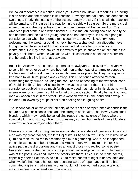We called repentance a reaction. When you throw a ball down, it rebounds. Throwing it is an action and the rebound is its reaction. How high the ball rebounds depends on two things: Firstly, the intensity of the action, namely the sin. If it is small, the reaction will be small and if it is great, the reaction in the spirit will be great. So the more cruel a person is, and the bigger his crime, the more intense will be the reaction. The American pilot of the plane which bombed Hiroshima, on looking down at the city he had bombed and the old and young people he had destroyed, felt such a pang of conscience that when he returned to his country to receive his countrymen's welcome and the wreath around his neck, he was a changed man altogether, even though he had been picked for that task in the first place for his cruelty and indifference. He may have smiled at the words of praise showered on him but in the privacy of his home when he was alone with his conscience he felt such a criminal that he ended his life in a lunatic asylum.

Bushr ibn Artas was a most cruel general of Muawiyyah. A policy of Mu'awiyah was to send him or other equally hard-hearted men at the head of an army to penetrate the frontiers of Ali's realm and do as much damage as possible; They were given a free hand to kill, burn, pillage and destroy. This Bushr once attacked Yemen, committing many crimes including the capture and beheading of the two small sons of Ubaidullah ibn Abbas, Ali's cousin, who was the governor there. Later his conscience troubled him so much for this ugly deed that neither in his sleep nor while awake even for a moment could he forget this bloody action. Finally he went out and rode a wooden horse in the street with a wooden sword in one hand and a whip in the other, followed by groups of children hooting and laughing at him.

The second factor on which the intensity of the reaction of repentance depends is the nature of a person's conscience and the strength of his faith. That is why even small blunders which may hardly be called sins rouse the conscience of those who are spiritually firm and strong, while most of us may commit hundreds of these blunders everyday without worrying about them.

Chaste and spiritually strong people are constantly in a state of penitence. One such man was my great teacher, the late Haj Mirza Ali Agha Shirazi. Once he visited us at Qum and then invited me to accompany him to a gathering, where, as it happened, the choicest pieces of both Persian and Arabic poetry were recited . He took an active part in the discussions and was amongst those who recited some poetry. Never did I realize that he had such a profound knowledge in this field. The poetry was of the poets Sa'di and Hafiz and others like them. Of course, to recite poems, especially poems like this, is no sin. But to recite poems at night is undesirable and when we left that house he kept on repeating words of repentance as if he had committed a great sin while many of us would not have worried about acts which may have been considered even more wrong.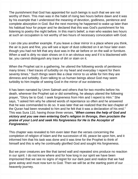The punishment that God has appointed for such beings is such that we are not worthy of them. This man was in the habit of rising two hours before dawn and it was by his example that I understood the meaning of devotion, godliness, penitence and complete absorption in God. But the next morning he happened to wake up later than his habitual hour for prayer and he declared that this was God's punishment for his listening to poetry the night before. In this man's belief, a man who wastes two hours at such an occupation is not worthy of two hours of necessary convocation with God.

I can cite you another example. If you leave a clear mirror in a place where you think, the air is pure and fine, you will see a layer of dust collected on it an hour later even though you had not felt that any dust was in the air before or on the wall or furniture. When a wall is dirty no stain shows on it in an obvious way and if it is blackened with tar, you cannot distinguish any trace of dirt or stain on it.

When the Prophet sat in a gathering, he uttered the following words of penitence many times: I feel traces of turbidity on my heart and everyday I repent for them seventy times." Such things seem like a clear mirror to us while for him they are dimness and turbidity. Even talking to us human beings about God may seem turbidity to him inspite of seeing God in the mirror of our existence.

It has been narrated by Umm Salmah and others that for two months before his death, wherever the Prophet sat or did something, he always uttered the following prayer, "Glory be to God. I seek forgiveness from Him and I repent to Him." She says, "I asked him why he uttered words of repentance so often and he answered that he was commanded to do so. It was later that we realized that the last chapter of the Quran had been revealed to him and he felt that it was a declaration of his end." This was Sura 110, having those three verses, "**When comes the help of God and victory and you see men entering God's religion in throngs, then proclaim the praise of your Lord and seek His forgiveness for He is the Acceptor of Forgiveness.**"

This chapter was revealed to him even later than the verses concerning the completion of religion of Islam and the succession of Ali, peace be upon him, and it informed him that his task was done and it was time for the Prophet to think of himself and this is why he continually glorified God and sought His forgiveness.

But we poor creatures are like that tarred wall and repeated sins produce no reaction in our spirit. I do not know where and for how long in our spirit we have been imprisoned that we see no signs of regret for our dark past and realize that we had gone astray and must now turn to God. Then we will be at the starting point of our heavenly journey.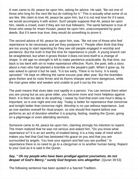A man came to Ali, peace be upon him, asking for advice. He said, "Be not one of those who long for the next life but do nothing for it." This is actually what some of us are like. We claim to love Ali, peace be upon him, but it is not real love for if it were, we would accompany it with action. Such people suppose that Ali, peace be upon him, needs a crowd, even if they are not true followers. The same behavior is true of those who weep for Imam Husain, peace be upon him, unaccompanied by good deeds. But if it were true love, they would do something to prove it.

The second advice of Ali, peace be upon him, was, "Be not one of those who feel repentance to be necessary and yet they postpone it." People often think that they are too young to start repenting for they see old people engaged in worship and penitence. But the truth is that the time for repentance is youth. A young branch can be straightened, but when it grows thicker it does not lend itself to a change of shape. In old age no strength is left to make penitence practicable. By that time, our back is too bent with sin to make repentance effective. Rumi, the poet, tells a story about a man who had planted a bramble on the people's path. When it grew up, he was asked to uproot it but he said, "It is too early, There is no hurry. It is easily uprooted." He kept on offering the same excuse year after year. But the brambles grew thicker and its roots firmer and its thorns sharper and more dangerous, while the man grew older and weaker and unable to pull it out by the root.

The poet means that vices take root rapidly in a person. You can remove them when you are young but as you grow older, you become more and more helpless against them. It is then too late to do anything. I swear by God that even one hour's delay is important; so is one night and one day. Today is better for repentance than tomorrow and tonight better than tomorrow night. Worship is no use without repentance. Just as one washes oneself for ritual prayer, so one should first repent before one performs an act of devotion whether it is praying, fasting, reading the Quran, going on a pilgrimage or even attending sermons.

Someone came to Ali, peace be upon him, claiming strongly his intention to repent. The Imam realized that he was not serious and asked him, "Do you know what repentance is? It is an act worthy of exalted being; it is a holy state of mind which makes you feel that God has bestowed His grace on you and that you are surrounded by angels. You lose your egoism and feel you are purified." In repentance there is no need to go to a clergyman or to another human being. Repent to your God as it is said in the Quran,

## **Say, " Oh my people who have been prodigal against yourselves, do not despair of God's Mercy," surely God forgives sins altogether**. (Quran 39:53)

The following sentence has been quoted in a Sacred Tradition,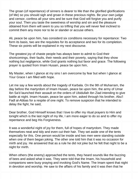The groan (of repentance) of sinners is dearer to Me than the glorified glorifications (of Me) so you should sigh and groan in these precious nights. Be your own judge and censor, confess all your sins and be sure that God will forgive you and purify your soul. Then you taste the sweetness of worship and sin and the pleasure obtained from them will seem to you so trifling that you will never feel inclined to commit them any more nor to lie or slander or accuse others.

Ali, peace be upon him, has considerd six conditions necessary for repentance: Two form its basis, two are the requisites for its acceptance and two for its completion. These six points will be explained in my next discourse.

The greatest joy of chaste people has always been to admit to God their shortcomings, their faults, their needs and their poverty, saying that they show nothing but negligence, while God grants nothing but favor and grace. The following prayer is quoted from Imam Husain, peace be upon him,

My Master, when I glance at my sins I am overcome by fear but when I glance at Your Grace I am filled with hope.

Let me say a few words about the tragedy of Karbala. On the 9th of Muharram, the day before the martyrdom of Imam Husain, peace be upon him, the army of Umar Ibn Sa'd launched their assault on the orders of Ubidullah Ibn Ziad intending to give battle at night. Imam Husain, peace be upon him, asked through his brother, Abu'l Fadl al-Abbas for a respite of one night. To remove suspicion that he intended to delay the fight, he said,

Dear brother, God Himself knows that I love to offer my ritual prayers to Him and tonight which is the last night of my life, I am more eager to do so and to offer my repentance and beg His Forgiveness.

It was a wonderful night of joy for them, full of hopes of martyrdom. They made themselves neat and tidy and even cut their hair. They set aside one of the tents especially for this. One person would be inside and two men were standing outside when one of them began joking. The other one told him that it was no occasion for mirth and joy. He answered that as a rule he did not joke but he felt that night to be a night for mirth.

When others (the enemy) approached the tents, they heard sounds like the buzzing of bees and asked what it was. They were told that the Imam, his household and companions were busy praying and invoking God's Name. The Imam spent that night in devotion and worship. He saw to the affairs of his family and it was then that he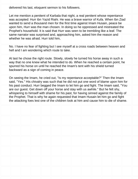delivered his last, eloquent sermon to his followers.

Let me mention a penitent of Karbala that night, a real penitent whose repentance was accepted: Hurr ibn Yazid Riahi. He was a brave warrior of Kufa. When Ibn Ziad wanted to send a thousand men for the first time against Imam Husain, peace be upon him, Hurr was the man chosen. In doing so he oppressed and mistreated the Prophet's household. It is said that Hurr was seen to be trembling like a leaf. The same narrator was surprised and, approaching him, asked him the reason and whether he was afraid. Hurr told him,

No. I have no fear of fighting but I see myself at a cross roads between heaven and hell and I am wondering which route to take.

At last he chose the right route. Slowly, slowly he turned his horse away in such a way that no one knew what he intended to do. When he reached a certain point, he spurred his horse on until he reached the Imam's tent with his shield turned backward as a sign of coming in peace.

On seeing the Imam, he cried out, "Is my repentance acceptable?" Then the Imam said, "Yes." His chivalry was such that he did not put one word of blame upon him for his past conduct. Hurr begged the Imam to let him go and fight. The Imam said, "You are our guest. Get down off your horse and stay with us awhile." But he felt shy, whispering to himself with shame for his past, for having sinned against the family of the Prophet. That is why he again requested that Imam Husain let him go and fight the attacking foes lest one of the children look at him and cause him to die of shame.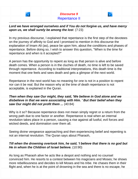

# **Lord we have wronged ourselves and if You do not forgive us, and have mercy upon us, we shall surely be among the lost**. (7:23)

In my previous discourse, I explained that repentance is the first step of the devotees on the journey of affinity to God and I promised to mention in this discourse the explanation of Imam Ali (as), peace be upon him, about the conditions and phases of repentance. Before doing so, I wish to answer this question, "When is the time for repentance and when is it accepted?"

A person has the opportunity to repent as long as that person is alive and before death comes. When a person is in the cluches of death, no time is left to be saved through repentance. According to traditional interpretations, this death time is the moment that one feels and sees death and gets a glimpse of the next world.

Repentance in the next world has no meaning for one is not in a position to repent nor can it be real. But the reason why at the time of death repentance is not acceptable, is explained in the Quran.

**Then when they saw Our might, they said, 'We believe in God alone and we disbelieve in that we were associating with Him. ' But their belief when they saw Our might did not profit them ...** (40:84)

Why is it so? Because repentance does not mean simply regret or a return from the wrong path due to one factor or another. Repentance is real when an internal revolution takes place in a person, causing a rise against all lustful, evil forces and wicked deeds, and domination over them all.

Seeing divine vengeance approaching and then experiencing belief and repenting is not an internal revolution. The Quran says about Pharaoh,

# **Till when the drowning overtook him, he said, 'I believe that there is no god but He in whom the Children of Israel believe.** (10:90)

As long as Pharaoh alive he acts like a despot and nothing and no counsel convinced him. He resorts to a contest between his magicians and Moses; he shows more rebelliousness and decides to kill Moses and his tribe. He chases them in their flight and, when he is at the point of drowning in the sea and there is no escape, he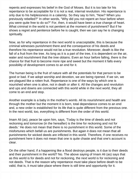repents and expresses his belief in the God of Moses. But it is too late for his repentance to be acceptable for it is not a real, internal revolution. His repentance is only due to his helplessness in a calamity. So they say to him, "Now? When you previously rebelled?" In other words, "Why did you not repent an hour before when you were quite free to do so?" For, then, it would have been a true change of heart. What criminal in the world is not penitent at the moment of punishment? But if he shows a regret and penitence before he is caught, then we can say he is changing spiritually.

Now, as for why repentance in the next world is unacceptable, this is because the criminal witnesses punishment there and the consequence of his deeds and therefore his repentance would not be a true revolution. Moreover, death is like the fall of a fruit from the tree. As long as it is a part of the tree, it is dependent on the air, water and nourishment that the tree obtains. Even an hour before falling, there is the chance for that fruit to become more ripe and sweet but the moment it falls every possibility of development comes to an end for it.

The human being is the fruit of nature with all the potentials for that person to be good or bad. If we adopt worship and devotion, we are being ripened. If we sin, we are plagued like a rotten fruit. Repentance is one of the ways by which one is nourished when one is alive, not in death or after it. All the changes and revolution and ups and downs are connected with this world while in the next world, they all come to an end and stop.

Another example is a baby in the mother's womb. All its nourishment and health are through the mother but the moment it is born, total dependance comes to an end and, a new order is established for its life that is quite different from the previous one. In the next world, too, everything is different from the order of this world.

Imam Ali (as), peace be upon him, says, 'Today is the time of deeds and not reckoning and tomorrow (in the hereafter) is the time for reckoning and not for deeds.' He does not mean that there is no punishment in this world. Some of the misfortunes which befall us are punishments. But again it does not mean that all punishments for wicked deeds are inflicted in this world. Therefore, if one receives no punishment here it does not mean that one is quite chaste and that one's account is clear.

On the other hand, if a happening like a flood destroys people, is it due to their deeds and their punishment in the world? No. The above saying of Imam Ali (as) says that as this world is for deeds and not for reckoning, the next world is for reckoning and not deeds. That is the reason why repentance must take place before death to be valid, that is, it must take place where there is still time and opportunity for it.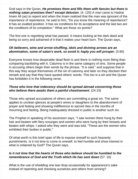God says in the Quran, **He promises them and fills them with fancies but there is nothing satan promises then? except delusion**. (4: 120) A man came to Hadrat Imam Ali (as) to repent and when the Imam realized that the man was ignorant of the importance of repentance, he said to him, "Do you know the meaning of repentance? It has an exalted position. It has six conditions for its acceptance and the last two are the conditions of its completion." What are those six points?

The first one is regretting what has passed. It means looking at the dark deed and being so sorry and ashamed of it that it makes your heart burn. The Quran says,

## **Oh believers, wine and arrow-shuffling, idols and divining arrows are an abomination, some of satan's work, so avoid it; haply you will prosper.** (5:90)

Everyone knows how despicable dead flesh is and there is nothing more fitting than comparing backbiting with it. Calumny is in the same category of sins. Some people in accusing others begin their words by the phrase, "It is said," and suppose that in this way they acquit themselves of the sin of calumny and later on they disclaim their remark and say that they have quoted others' words. This too is a sin and the Quran has forbidden it in the following verse.

## **Those who love that indecency should be spread abroad concerning those who believe there awaits them a painful chastisement**. (24:19)

Those who spread accusations of others are committing a great sin. The same applies to unclean glances at people's wives or daughters to the abandonment of prayer and fasting and showing indifference to sacred rites in the months of mourning and fasting. Being inadequately dressed in public is another such sin.

The Prophet in speaking of his ascension says, "I saw women there hung by their hair and beaten with fiery scourges and women who were hung by their breasts and beaten with whips. I asked who they were and was told, "These are the women who exhibited their bodies in public."

Of what worth is this brief span of life to expose oneself to such heavenly punishments. Is it not time to come to oneself, to feel humble and show interest in what is ordained by God? The Quran says,

#### **Is it not time that the hearts of those who believe should be humbled to the remembrance of God and the Truth which He has sent down** (57: 16)

What is the use of shedding one tear drop occasionally for appearance's sake instead of repenting and checking ourselves and others from sinning?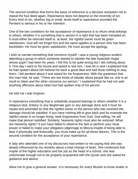The second condition that forms the basis of reference is a decisive resolution not to repeat the foul deed again. Repentance does not depend on the enormity of sin. Every kind of sin, whether big or small, lends itself to repentance provided the Penitent is serious in his or her intention .

One of the two conditions for the acceptance of repentance is to return what belongs to others, whether it is something that is seized or a right that has been trampled on. It must either be returned itself or, at least, the rightful owner must be given satisfaction. God will not forget him and the same applies to a person who has been backbitten. He must be given satisfaction. He must accept the apology.

I wish to narrate something that concerns myself. I was a young religious student attending a group in which someone started to slander the late Ayatullah Hujjat whose pupil I had been for years. I felt this to be quite wrong but I did nothing about it. One day I went to his house and asked to see him. I was let in and I explained that he had spoken about him behind his back a great deal and had done nothing to stop them. I felt penitent about it and asked for his forgiveness. With the greatness that this man had, he said, "There are two kinds of slander about people like us, one is an insult to Islam and the other concerns our person." I explained that he had not said anything offensive about Islam but had spoken only of his person.

He told me I was forgiven.

In repentance everything that is unlawfully acquired belongs to others whether it is a religious task, bribery or any illegitimate gain or any damage done and it must be repaid and amended so that the rightful owner or the person who has received the damage should be satisfied. If you have nothing left to give back and for example the rightful owner is no longer living, seek forgiveness from God. God willing, He will make that person satisfied. Similarly, heavenly rights must also be restored. What are heavenly rights? If you have failed to observe the fast or perform your ritual prayer or failed to make your obligatory pilgrimage to Mecca inspite of being able to bear it physically and financially, you must make up for all these failures. This is the second condition for the acceptance of your repentance.

A lady who attended one of my discourses had written to me saying that she was deeply influenced by my remarks about a total change of heart. She confessed that inspite of the higher education and her job as the head of a school, she was unfortunate enough not to be properly acquainted with the Quran and she asked for guidance and advice.

Allow me to give a general answer. It is necessary for every Muslim to know Arabic in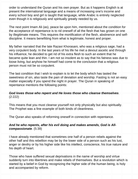order to understand the Quran and his own prayer. But as it happens English is at present the international language and a means of increasing one's income and every school boy and girl is taught that language, while Arabic is entirely neglected even though it is religiously and spiritually greatly needed by us.

The next point Imam Ali (as), peace be upon him, mentioned about the condition for the acceptance of repentance is to rid oneself of all the flesh that has grown on one by illegitimate means. This requires the mortification of the flesh, abstinence and selfdiscipline. It means benefitting from what is legitimate, honest and proper.

My father narrated that the late Razavi Khorasani, who was a religious sage, had a very corpulent body. In the last years of his life he met a devout ascetic and through his influence, he decided to get rid of his extra flesh to such an extent that he became quite lean and thin. I am not so insolent as to say that his fatness was due to loose living, but anyhow he himself had come to the conclusion that a religious person must not be so corpulent.

The last condition that I wish to explain is to let the body which has tasted the sweetness of sin, also taste the pain of deviation and worship. Fasting is not an easy matter especially if you spend the night in prayer. The Quran in speaking of repentance mentions the following points:

#### **God loves those who repent and He loves those who cleanse themselves**. (2:222)

This means that you must cleanse yourself not only physically but also spiritually. The Prophet was a fine example of both kinds of cleanliness.

The Quran also speaks of reforming oneself in connection with repentance.

#### **And he who repents, after his evil doing and makes amends, God is Allcompassionate**. (5:39)

I have already mentioned that sometimes one half of a person rebels against the other half and this rebellion may be by the lower side of a person such as his lust, anger or devilry or by his higher side like his intellect, conscience, his true nature and his depth of heart.

Those who have suffered sexual deprivations in the name of worship and virtue suddenly turn into libertines and make rebels of themselves. But a revolution which is started by a belief in God by recognizing the higher side of the human being, is holy and accompanied by reform.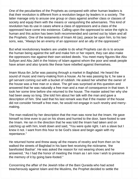One of the peculiarities of the Prophets as compared with other human leaders is that their revolution is different from a revolution begun by leaders in a society. The latter manage only to arouse one group or class against another class or classes of society and equip them with the means or vanquishing the adversaries. This kind of revolution has its use in cases where a class of oppressors and a class of the oppressed have come into existence. Calling upon the oppressed to seize the right is human and this action has been both recommended and carried out by Islam and all the Prophets. One of the testaments of Imam Ali (as), peace be upon him, to his two sons, was, "Always be an enemy of an oppressor and an ally of the oppressed."

But what revolutionary leaders are unable to do what Prophets can do is to arouse the human being against the self and make him or her repent, they can also make the oppressors rise against their own wicked deeds. You meet many figures like Abu Sufiyan and Abu Jahl in the history of Islam against whom the poor and weak people have arisen and also tyrants like these have rebelled against themselves.

Imam Musa ibn Ja'far was passing through a market in Baghdad. He heard the sound of music and merry-making from a house. As he was passing by it, he saw a girl servant coming out with a bucket of rubbish. He asked her whether the owner of the house was a free man or a slave. The girl was surprised at this question and answered that he was naturally a free man and a man of consequence in that town. It took her some time before she returned to the house. The master asked her why she had been away so long. She told him about her talk with the man and gave a description of him. She said that his last remark was that if the master of the house did not consider himself a free man, he would not engage in such revelry and merrymaking.

The man realized by her description that the man was none but the Imam. He gave himself no time even to put on his shoes and hurried to the door, bare-footed to see the Imam. He ran in the direction that he was told the Imam had taken and on catching up with him, knelt down and said, "You were quite right. I am a slave but I knew it not. I want from this hour to be God's slave and begin again with my repentance."

He returned home and threw away all the means of revelry and from then on he walked the streets of Baghdad in his bare feet receiving the nickname, 'the barefooted Bashar'. He was asked the reason for not wearing shoes and he answered, "As I had the honor of meeting the Imam as I am now I wish to preserve the memory of it by going bare-footed."

Concerning the affair of the Jewish tribe of the Bani Quraida who had acted treacherously against Islam and the Muslims, the Prophet decided to settle the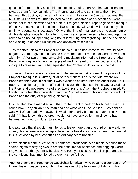question for good. They asked him to dispatch Abul Babah who had an inclination towards them for consultation. The Prophet agreed and sent him to them. He betrayed this trust by some remark which was in favor of the Jews and against the Muslims. As he was returning to Medina he felt ashamed of his action and went home, not to see his wife and children, but to get a piece of rope to go to the mosque of the Prophet. He tied himself to a pillar and cried, "Oh God I will not untie myself until my repentance is accepted." Only at the time of ritual prayers or to ease nature did his daughter untie him tor a few moments and gave him some food and again he asked to be bound, spending long hours lamenting and regretting what he had done and wishing to be dead unless he was absolved from his sin.

They reported this to the Prophet and he said, "If he had come to me I would have begged God to forgive him but as he has made a direct request of God, He will deal with him." After two or three days, divine revelation informed the Prophet that Abul Babah was forgiven. When the people of Medina heard this, they poured into the mosque to release him but he requested the Prophet to do so, which he did.

Those who have made a pilgrimage to Medina know that on one of the pillars of the Prophet's mosque it is written, 'pillar of repentance'. This is the pillar where Abul Babah repented and in his time it was a wooden column. After his absolution, Abul Babah, as a sign of gratitude offered all his wealth to be used in the way of God but the Prophet did not agree. He offered two-thirds of it. Again the Prophet refused. For the third time he offered one third and the Prophet agreed. This was just since Abul Babah had the duty of supporting his family.

It is narrated that a man died and the Prophet went to perform his burial prayer. He asked how many children the man had and what wealth he had left. They said he was well-off but had given away his wealth for charity before his death. The Prophet said, "If I had known this before, I would not have prayed for him since he has bequeathed hungry children to society."

It is also said that if a sick man intends to leave more than one third of his wealth to charity, his bequest is not acceptable since he has done so on his death bed even if this is not done by bequest but as an ordinary act of transfer.

I have discussed the question of repentance throughout these nights hecause these sacred nights of staying awake are the best time for penitence and begging God's forgiveness so that you may be absolved from your sins. But in this repentance all the conditions that I mentioned before must be fulfilled.

Another example of repentance was Zuhair ibn alQain who became a companion of Imam Husain, peace be upon him. He was one of the followers of Uthman who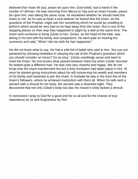believed that Imam Ali (as), peace be upon him, God forbid, had a hand in the murder of Uthman. He was returning from Mecca to Iraq and as Imam Husain, peace be upon him, was taking the same route, he wondered whether he should meet the Imam or not. As he was at heart a true believer he feared that the Imam, as the grandson of the Prophet, might ask him something which he would be unwilling to perform which would be very bad so he kept away from the Imam. But in one of the stopping places on their way they happened to alight by a well at the same time. The Imam sent someone to bring Zuhair to him. Zuhair, as the head of the tribe, was dining in his tent with his family and companions. He went pale on hearing the summons and said, "What I did not wish for has happened."

He did not know what to say. He had a wife full of belief who said to him, 'Are you not ashamed by showing hesitation in obeying the call of the Prophet's grandson which you should consider an honor? Go at once.' Zuhair unwillingly arose and went to meet the Imam. No one knows what passed between them but when Zuhair returned he looked quite a different man. He was now very cheerful and happy. We do not know how the Imam transformed him but a holy revolution had taken place in him. At once he started giving instructions about his will concerning his wealth and members of his family and hastened to join the Imam. In Karbala he was in the front line of the Imam's followers, where he achieved martyrdom with them all. When his wife sent a servant with a shroud for his body, the servant saw a shameful sight. They discovered that not only Zubair's body but also his master's body lacked a shroud .

In conclusion I pray to God for a good end for us all and for the chance of true repentance by us and forgiveness by Him.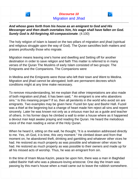

#### **And whoso goes forth from his house as an emigrant to God and His Messenger and then death overtakes him, his wage shall have fallen on God. Surely God is All-forgiving All-compassionate**. (4:100)

The holy religion of Islam is based on the two pillars of migration and jihad (spiritual and religious struggle upon the way of God). The Quran sanctifies both matters and praises profoundly those who migrate.

Migration means leaving one's home and dwelling and Setting off for another destination in order to save religion and faith This matter is referred to in many verses of the Quran The Muslims of early Islam consisted of two groups: The Emigrants and the Companions. The Companions were

In Medina and the Emigrants were those who left their town and Went to Medina. Migration and jihad cannot be abrogated; both are permanent decrees which conditions might at any time make necessary.

To remove misunderstanding, let me explain that other intepretations are also made of both migration and jihad. It has been said, " An emigrant is one who abandons sins." Is this meaning proper? If so, then all penitents in the world who avoid sin are emigrants. Two examples may be given here: Fuzeil bin Iyaz and Bashir Hafi. Fuzeil was a thief at the beginning but a change of heart made him reject all sins and repent sincerely. Later he was known not only as a virtuous man but as a guide and teacher of others. In his former days he climbed a wall to enter a house where as it happened a devout man kept awake praying and reading the Quran. He heard the melodious voice of the man reading a verse of the Holy Quran.

When he heard it, sitting on the wall, he thought, "It is a revelation addressed directly to me. Yes, oh God, it is time, this very moment." He climbed down and from that moment on, he abandoned theft, drinking and gambling and whatever other vices he had. He restored as much property as was possible and whatever other vices he had. He restored as much property as was possible to their owners and made up for all his missed acts of worship. Thus, he was an emigrant from sin.

In the time of Imam Musa Kazim, peace be upon him, there was a man in Baghdad called Bashir Hafi who was a pleasure-loving aristocrat. One day the Imam was passing by this man's house when a maid came out to leave the rubbish somewhere.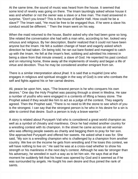At the same time, the sound of music was heard from the house. It seemed that some kind of revelry was going on there. The Imam tauntingly asked whose house it was and whether or not the owner was a slave or a free man. The maid answered in surprise, "Don't you know? This is the house of Bashir Hafi. How could he be a slave?" The Imam said, "He must be free to be engaged thus. If he were a slave his conduct would be different. " Then the Imam went on his way.

When the maid returned to the house, Bashir asked why she had been gone so long. She related the conversation she had with a man who, according to her, looked very virtuous and religious. By her description, Bashir realized that it could not have been anyone but the Imam. He felt a sudden change of heart and eagerly asked which direction he had taken. On being told, he ran out bare-footed and managed to catch up with the Imam. He fell at the Imam's feet, sobbing and admitted his interest in being a slave from that minute onward, a slave of God. He repented his past conduct and on returning home, threw away all the implements of revelry and began a life of virtue and devotion. Thus he may be considered another emigrant from sin.

There is a similar interpretation about jihad. It is said that a mujahid (one who engages in religious and spiritual struggle in the way of God) is one who combats the self and fights against his or her carnal desires.

Ali, peace be upon him, says, "The bravest person is he who conquers his own desires." One day the Holy Prophet was passing through a street in Medina. He saw a number of youths who were engaged in a contents of lifting a heavy stone. The Prophet asked if they would like him to act as a judge of the contest. They eagerly agreed. Then the Prophet said, "There is no need to lift the stone to see which of you is the strongest. I can say that the strongest person is he who in his desire for a sin is able to control that desire. Such a person is truly a brave warrior."

A story is related about Puryayeh Vali who is considered a great world champion as well as a symbol of chivalry and manliness. Once he had visited another country for a wrestling contest with its champion. In the street he came across an old woman who was offering people sweets as charity and begging them to pray for her son. She approached Puryayeh and offered her sweets. He asked what it was for. She said, "My son is a wrestling champion who is challenged by a champion from another country. We live on the income he gets from wrestling and if he loses this contest, we will have nothing to live on." He said he was at a cross-road whether to show his strength or his manliness in the next day's contest. Although he was far stronger than his adversary, he wrestled in such a way as to let him win. He says that at that moment he suddenly felt that his heart was opened by God and it seemed as if he was surrounded by angels. He fought his own desire and thus joined the rank of saints.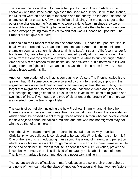There is another story about Ali, peace be upon him, and Amr ibn Abdawud, a champion who had stood alone against a thousand men. In the Battle of the Trench, the Muslims were on one side of the trench and the enemy, on the other, so that the enemy could not cross it. A few of the infidels including Amr managed to get to the other side challenging the Muslims who were afraid to face him since they were aware of his strength. The Prophet asked who would take the challenge but no one moved except a young man of 23 or 24 and that was Ali, peace be upon him. The Prophet did not give him leave.

Umar said to the Prophet that as no one came forth, Ali, peace be upon him, should be allowed to proceed. Ali, peace be upon him, faced Amr and knocked this great champion down and sat on his chest to kill him. But Amr spat in Ali's face in anger for his defeat. Ali, peace be upon him, was offended greatly at this mean conduct. He arose from the enemy's chest and walked about for a while to curb his anger. When Amr asked him the reason for his hesitation, he answered, "I did not wish to kill you in anger for I am fighting for God and in this task there is no room for wrath." This is what a brave warrior is like.

Another interpretation of the jihad is combatting one's self. The Prophet called it the greater jihad. But some people were diverted by this interpretation, supposing that migration was only abandoning sin and jihad was only against the self. Thus, they forgot that migration also means abandoning an undesirable place and jihad also includes fighting foreign enemies. Thus, Islam believes in two kinds of migration and two kinds of jihad. If we negate one type of either under the pretext of the other, we are diverted from the teachings of Islam.

The saints of our religion including the holy Prophets, Imam Ali and all the other Imams were all strivers and migrants. From a spiritual point of view, there are stages which cannot be passed except through these actions. A man who has never entered the field of jihad cannot be called a mujahid and one who has not migrated may not win the epithet of an emigrant.

From the view of Islam, marriage is sacred in several practical ways (unlike Christianity where celibacy is considered to be sacred). What is the reason for this? One of the reasons is in educating man's spirit. It is a kind of maturity and perfection which is not obtainable except through marriage. If a man or a woman remains single to the end of his/her life, even if that life is spent in asceticism, devotion, prayer and in combat with vices, there is still a kind of immaturity noticeable in each of them. That is why marriage is recommended as a necessary tradition.

The factors which are efficacious in man's education are so in their proper spheres and none of them can take the place of another. Migration and jihad, too, are factors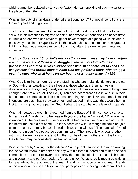which cannot be replaced by any other factor. Nor can one kind of each factor take the place of the other kind.

What is the duty of individuals under different conditions? For not all conditions are those of jihad and migration.

The Holy Prophet has seen to this and told us that the duty of a Muslim is to be serious in his intention to migrate or enter jihad whenever conditions so necessitate it. Thus a person who has never fought or never thought of fighting will in his death pass away in a kind of hypocrisy while those who cherish the intention to migrate or fight in a jihad under necessary conditions, may attain the rank. of emigrants and crusaders.

The Holy Quran says, "**Such believers as sit at home, unless they have an injury, are not the equals of those who struggle in the path of God with their possessions and their selves over the ones who sit at home, yet to each God has promised the reward most fair and God has preferred those who struggle over the ones who sit at home for the bounty of a mighty wage ...**" (4:95)

What God is telling us here is that the Muslims who are mujahids, fighters in the path of God with their wealth and their lives and those who sit in their homes (in disobedience to the Quran) merely on the pretext of 'those who are ready to fight are enough," are not all equal. The Holy Quran does not reproach those who sit in their homes due to some excess like blindness or being lame or ill, whose mentalities and intentions are such that if they were not handicapped in this way, they would be the first to rush to jihad in the path of God. Perhaps they too have the level of mujahids.

When Ali, peace be upon him, returned from the Battle of Siffin, someone came to him and said, "I wish my brother was with you in the battle." Ali said, "What was his intention? Did he have an excuse or not? If he had no excuse for not joining us, all the better that he did not come. But if his heart was with us though he could not join us for a reason, he may be considered to have been with us. " The man said, "He did intend to join you." Ali, peace be upon him, said, "Then not only was your brother with us but even those who are still in the wombs of their mothers or in the loins of their fathers may be considered as having joined us."

What is meant by 'waiting for the advent?' Some people suppose it to mean waiting for the twelfth Imam to reappear one day with his three hundred and thirteen special companions and other followers to destroy the enemies of Islam, to establish peace and prosperity and perfect freedom, for us to enjoy. What is really meant by waiting for relief (through the advent of the Imam Mahdi) is the hope of joining Imam Mahdi on his reappearance in the holy war and perhaps even attaining martyrdom. That is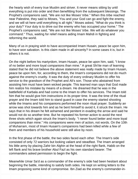the hearty wish of every true Muslim and striver. It never means sitting by until everything is put into order and then benefitting from the subsequent blessings. The Prophet's companions said, "We are not like Moses' tribe." When this tribe reached near Palestine, they said to Moses, 'You and your God can go and fight the enemy, and we will sit here until everything is all right." Moses asked, "What do you think is your duty? Your duty is to drive out the enemy who has occupied your home." The Prophet's companions said, "We are not like Moses' tribe. We will do whatever you command." Thus, waiting for relief means aiding Imam Mahdi in fighting and reforming the world.

Many of us in praying wish to have accompanied Imam Husain, peace be upon him, to have won salvation. Is this claim made in all sincerity? In some cases it is, but in others it is not.

On the night before his martyrdom, Imam Husain, peace be upon him, said, "I know of no better and more loyal companions than mine." A great Shi'ite man of learning stated that he did not believe the above statement was really made by Imam Husain, peace be upon him, for, according to them, the Imam's companions did not do much against the enemy's cruelty. It was the duty of every ordinary Muslim to offer his service to the grandson of the Prophet and Ali's son. Those who abstained from assisting him must have been wicked people. This learned man says that God made him realize his mistake by means of a dream. He dreamed that he was in the battlefield of Karbala and had come to the Imam to offer his services. The Imam told him that he would give him instructions in its proper time. It was the time of the ritual prayer and the Imam told him to stand guard in case the enemy started shooting while the Imams and his companions performed the noon ritual prayer. Suddenly an arrow was shot towards him and as he bent himself to avoid it, it struck the Imam. He says that in his dream he felt ashamed and penitent in evading the arrow and said he would not do so another time. But he repeated his former action to avoid the next three shots which again struck the Imam's body. "I never found better and more loyal companions than mine." His companions were men of action, not words. On the 10th of Muharram, most of Imam Husain's companions had been killed while a few of them and members of his household were still alive by noon.

In the first phase of the battle, the two sides faced each other. The Imam's side consisted of only 72 warriors but looking valiant and steadfast. The Imam arranged his little army by placing Zahir bin Alghin at the head of the right flank, Habib on the left flank and his brave brother Abul Fazl as his own standard bearer. The commanders asked permission to begin the fight.

Meanwhile Umar Sa'd as a commander of the enemy's side had been hesitant about beginning the battle, intending to satisfy both sides. He kept on writing letters to the Imam proposing some kind of compromise. Ibn Ziad as the enemy's commander-in-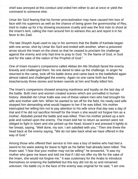chief was annoyed at this conduct and orded him either to act at once or yield the command to someone else.

Umar ibn Sa'd fearing that his former procrastination may have caused him loss of face with his superiors as well as the chance of being given the governorship of Rey, tried to make up for it by showing excessive cruelty and was the first man to shoot at the Imam's tent, calling the men around him to witness this act and report it in his favor to ibn Ziad.

The late Shaykh Ayati used to say in his sermons that the Battle of Karbala began with one arrow, shot by Umar ibn Sa'd and ended with another, when a poisoned arrow struck the Imam on the chest so that he ceased to proclaim his challenge against the enemy and only had time to pray to God. "In the Name of God, in God and for the sake of the nation of the Prophet of God."

One of Imam Husain's companions called Abbas ibn Abi Shubiyb faced the enemy bravely and challenged them. No one dared to take up the challenge. In anger he returned to the camp, took off his battle dress and came back to the battlefield again almost naked and challenged the enemy. Again no one came forth but they treacherously threw stones and broken swords at him and finally killed him.

The Imam's companions showed amazing manliness and loyalty on the last day of the battle. Both men and women created scenes which are unrivalled in human history. Abdullah ibn Umar Kalbi was one of these valiant men who had brought his wife and mother with him. When he wanted to set off for the field, his newly wed wife stopped him demanding what would happen to her if he was killed. His mother interrupted her telling him not to pay attention to his wife since that day was a day of trial and if he did not sacrifice himself for the Imam s she would not forgive him as a mother. Abdullah joined the battle and was killed. Then his mother picked up a tent pole and rushed upon the enemy. The Imam told her to return as women were not obliged to fight in Islam and she picked up the head, kissed it and pressed it tightly to her breast, saying, "Well done, my son. I am satisfied with you." Then she threw the head back at the enemy saying, "We do not take back what we have offered in the way of God."

Among those who offered their service to him was a boy of twelve who had tied a sword to his waist asking for leave to fight as his father had already been killed. The Imam said, "I fear that your mother may not be willing"' he answered, "It was my mother who gave me leave and told me that if I did not offer my life for the sake of the Imam, she would not forgive me." It was customary for the Arabs to introduce themselves on entering the battlefield but this boy did not do so and remained unknown. His battle cry in the face of the enemy was original for he said, "I am one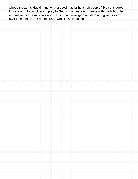whose master is Husain and what a good master he is, oh people." He considered this enough. In conclusion I pray to God to illuminate our hearts with the light of faith and make us true migrants and warriors in the religion of Islam and give us victory over its enemies and enable us to win His satisfaction.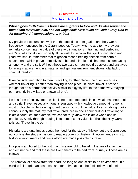

**Whoso goes forth from his house are migrants to God and His Messenger and then death overtakes him, and his wage shall have fallen on God; surely God is All-forgiving, All compassionate.** (4:201)

My previous discourse showed that the questions of migration and holy war are frequently mentioned in the Quran together. Today I wish to add to my previous remarks concerning the value of these two injunctions in training and perfecting man's spirit ethically and socially. If we wish to discover the spirit of migration and jihad, we should remember that migration means freeing oneself from certain attachments which prove themselves to be undesirable and jihad means combatting an enemy and the self. Without these two assets, man would be abject and enslaved for living in abasement in a material and spiritual environment shows total lack of spiritual freedom.

If we consider migration to mean travelling to other places the question arises whether travelling is better than staying in one place. In Islam, travel is praised though not as a permanent activity similar to a gypsy life. In the same way, staying permanently in a village or a town all one's

life is a form of enslavement which is not recommended since it weakens one's soul and spirit. Travel, especially if one is equipped with knowledge gamed at home, is most profitable, while for an ignorant person, it is of little value. Even studying books cannot supply the maturity that travel produces in one's spirit. Without travelling to Islamic countries, for example, we cannot truly know the Islamic world and its problems. Solely through reading is to some extent valuable. Thus the Holy Quran tells us, "Travel in the earth "

Historians are unanimous about the need for the study of history but the Quran does not confine the study of history to reading books on history. It recommends visits to historical monuments and relics which are made possible by travel.

In a poem attributed to the first Imam, we are told to travel in the sea of attainment and eminence and that these are five benefits to be had from journeys. These are as follows:

The removal of sorrow from the heart. As long as one sticks to an environment, his mind is full of grief and sadness and for a time at least he feels relieved of their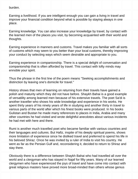burden.

Earning a livelihood. If you are intelligent enough you can gain a living in travel and improve your financial condition beyond what is possible by staying always in one place.

Earning knowledge. You can also increase your knowledge by travel, by contact with the learned men of the places you visit, by becoming acquainted with their world and thoughts.

Earning experience in manners and customs. Travel makes you familiar with all sorts of customs which may seem to you better than your local customs, thereby improving your conduct by selecting ways which seem desirable and appropriate to you.

Earning experience in companionship. There is a special delight of conversation and companionship that is often afforded by travel. This contact with lofty minds may ennoble your spirit.

Thus the phrase in the first line of the poem means "Seeking accomplishments and distinction by leaving one's domicile for travel."

History shows that men of learning on returning from their travels have gained a polish and maturity which they did not have before. Shaykh Bahai is a good example of versatility among learned men because of his extensive travels. The poet Sa'di is another traveller who shows his wide knowledge and experience in his works. He spent thirty years of his ninety years of life in studying and another thirty in travel to various parts of the world after which his finest books were produced. In his books Gulistan and Bustan he made many references to places in India, Arabia and many other countries he had visited and wrote delightful anecdotes about various incidents he had met with here and there.

Rumi is another much travelled poet who became familiar with various countries and their languages and cultures. But Hafiz, inspite of his deeply spiritual poems, shows more limitation of experience since he disliked travel and preferred to spend his life in his beloved Shiraz. Once he was invited by a ruler of India to visit his country. He went as far as the Persian Gulf and, reconsidering it, decided to return to Shiraz and stay there.

Obviously there is a difference between Shaykh Bahai who had travelled all over the world and a clergyman who has stayed in Najaf for fifty years. Many of our learned clergymen who have experienced the joys of travel and have come into contact with great religious masters have proved more broad-minded than others whose genius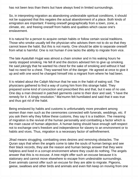has not been less than theirs but have always lived in limited surroundings.

So, in interpreting migration as abandoning undesirable spiritual conditions, it should not be supposed that this negates the actual abandonment of a place. Both kinds of emigration are important: Freeing oneself geographically from a town, zone, a climate, etc. and freeing oneself from habits and qualities which cause one's enslavement.

It is natural for a person to acquire certain habits or follow certain social traditions. Those who smoke usually tell the physician who advises them not to do so that they cannot leave the habit. But this is not manly. One should be able to separate oneself from what is harmful. One is not human if one lacks the ability to migrate from vice.

The late Ayatullah Hujjat was almost a chain smoker and in his waking hours he rarely stopped smoking. He fell ill and the doctors advised him to give up smoking. He said jokingly that he wanted his chest for the sake of smoking and without it had had no need for a chest. They warned him of the danger. He agreed at once to give it up and with one word he changed himself into a migrant from where he had been.

It is related about the Caliph Ma'mun that he was in the habit of eating soil. The physicians gathered to find a way of curing him from this strange habit. They prepared some kind of concoction and prescribed this and that, but it was of no use. One day a man dressed in patched garments came to their door and said, "I have the remedy for it. A kingly resolution." Ma'mumn felt humiliated and said that it was true and thus got rid of the habit.

Being enslaved by habits and customs is unfortunately more prevalent among women than men such as the ceremonies connected with funerals, weddings, etc. If you ask them why they follow these customs, they say it is a tradition. The meaning of migration is the revival of the human personality and combatting a factor which is the main cause of human abjection. A human being should have enough self-respect not to exchange one's freedom and independence for slavery to an environment or to habits and vices. Thus, migration is a necessary factor of selfrefinement.

Jihad means struggling, combatting ones desires and removing obstacles. The Quran says that when the angels come to take the souls of human beings and see their black records, they ask the reason and human beings answer that they were helpless and lived in a corrupt environment where they could do nothing. The angels answer that this is no excuse. A tree might offer such an excuse because it is stationary and cannot move elsewhere to escape from undesirable surroundings. Even animals cannot offer such an excuse for they are able to migrate. Pigeons, geese, swallows and other birds and animals and even fish keep on moving from one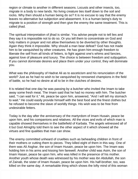region or climate to another in different seasons. Locusts and other insects, too, migrate in a body to new lands. No living creature ties itself down to the soil and rocks. Why then should a human being do so? It is no excuse to say that the enemy leaves no alternative but subjection and abasement. It is a human being's duty to migrate to a position of strength and then give the enemy the same treatment. This is called jihad.

The spiritual interpretation of jihad is similar. You advise people not to tell lies and they say it is impossible not to do so. Or you tell them to concentrate on God and holy matters in prayer and not allow themselves to be diverted by other thoughts. Again they think it impossible. Why should a man bear defeat? God has not made him to be vanquished by other creatures. He has given him enough freedom to liberate the self from all kinds of fetters, to fight against one's whims and fancies, against love of pleasure and luxury. The choice is between freedom and subjugation. If you cannot dominate desires and place them under your control, they will dominate you.

What was the philosophy of Hadrat Ali as to asceticism and his renunciation of the world? Just as he had no wish to be vanquished by renowned champions in the field of battle, so he had no desire at all to be in the clutches of desires.

It is related that one day he was passing by a butcher who invited the Imam to take away some fresh meat. The Imam said that he had no money with him. The butcher said, "I can wait for it." Ali, peace be upon him, answered, "And I will tell my stomach to wait." He could easily provide himself with the best food and the finest clothes but he refused to become the slave of worldly things. His wish was to be free from undesirable fetters.

Today is the day after the anniversary of the martyrdom of Imam Husain, peace be upon him, and his companions and relatives. All the vices and evils of which man is capable showed themselves in the battlefield of Karbala. The angels witnessed all of it but God Almighty told them to see the other aspect of it which showed all the virtues and fine qualities that man can show.

The enemy committed unheard of cruelties such as beheading children in front of their mothers or cutting them to pieces. They killed eight of them in this way. One of them was Ali Asghar, the son of Imam Husain, peace be upon him. The Imam was holding him in his arms and kissing him farewell. Another child was Asim, the son of Imam Hasan, peace be upon him, who was killed in the presence of his mother. Another youth whose death was witnessed by his mother was ibn Abdullah, the son of Zainab, the sister of Imam Husain, peace be upon him. His half-brother, too, was killed on the same day. A remarkable thing which shows the lofty mind of this woman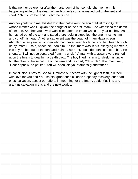is that neither before nor after the martyrdom of her son did she mention this happening while on the death of her brother's son she rushed out of the tent and cried, "Oh my brother and my brother's son."

Another youth who met his death in that battle was the son of Muslim ibn Qutb whose mother was Ruqiyah, the daughter of the first Imam. She witnessed the death of her son. Another youth who was killed after the Imam was a ten year old boy. As he rushed out of the tent and stood there looking stupefied, the enemy ran to him and cut off his head. Another sad event was the death of Imam Hasan's son, Abdullah, a ten year old orphan who had never seen his father and had been brought up by Imam Husain, peace be upon him. As the Imam was in his last dying moments, this boy rushed out of the tent and Zainab, his aunt, could do nothing to stop him. He shouted, "I will not be separated from my uncle." A man with a drawn sword rushed upon the Imam to deal him a death blow. The boy lifted his arm to shield his uncle but the blow of the sword cut off his arm and he cried, "Oh uncle." The Imam said, "Dear nephew, be patient. You will soon join your father's grandfather."

In conclusion, I pray to God to illuminate our hearts with the light of faith, full them with love for you and Your saints, grant our sick ones a speedy recovery, our dead ones, salvation, accept our efforts in mourning for the Imam, guide Muslims and grant us salvation in this and the next worlds.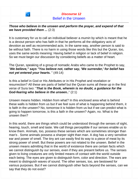

## **Discourse 12** Belief in the Unseen

## **Those who believe in the unseen and perform the prayer, and expend of that we have provided them ...** (2:3)

It is customary for us to call an individual believer a *mumin* by which is meant that he is a devout person who has faith in that he performs all the obligatory acts of devotion as well as recommended acts. In the same way, another person is said to be without faith. There is no harm in using those words like this but the Quran, too, uses the same words meaning: Having belief in religion or lack of belief in religion. So we must begin our discussion by considering beliefs as a matter of heart.

The Quran, speaking of a group of nomadic Arabs who came to the Prophet to say, "**We believe," says "You believe not, rather say, 'We surrender,' for belief has not yet entered your hearts.** " (49:14)

Is this a belief in God or His Attributes or in His Prophet and revelation or resurrection? All these are parts of belief but the Quran sums all these up in the first verse of Sura two: "**That is the Book, wherein is no doubt, a guidance for the God-fearing who believe in the unseen..**" (2:1)

Unseen means hidden. Hidden from what? In this enclosed area what is behind these walls is hidden from us but if we feel sure of what is happening behind them, it is faith in the unseen? No, tomorrow it is hidden from us but if we can predict what is going to happen tomorrow, is this a faith in the unseen? Again, no. What is the unseen then?

In this world, there are things which could be understood through the senses of sight, hearing, touch, smell and taste. We call things perceptible if our senses enable us to know them. Animals, too, possess these senses which are sometimes stronger than man's . Some animals possess a sharper sight than man. A dog has a very sensitive ear and power of smell. The tiny ant can easily find its way to a piece of meat by its strong power of smell. But these powers are not related to the unseen. Belief in the unseen means admitting that in the world of existence there are certain facts which we cannot distinguish by our senses, even if they are present before us. The senses given to living creatures are only limited means of contact with the world outside each being. The eyes are given to distinguish form, color and direction. The ears are meant to distinguish waves of sound. The other senses, too, are bestowed for various purposes. But if we cannot distinguish other facts beyond the senses, can we say that they do not exist?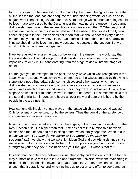No. This is wrong. The greatest mistake made by the human being is to suppose that all the senses that one has are adequate for understanding whatever exists and to negate what is not distinguishable for one. All the things which a human being should believe in are expressed by the Quran under the heading of the unseen. If we cannot distinguish them through the senses, how should we accept them? Other ways and means are placed at our disposal to believe in the unseen. The verse of the Quran concerning faith in the unseen does not mean that we should accept every hidden matter simply because we have faith. If an exorcist claimed that he had an army of jinn, we should not believe him simply because he speaks of the unseen. But we must not deny the unseen altogether.

If we were asked what are the ways of believing in the unseen, we would say that there are stages. The first stage is to distinguish the various signs which make it impossible to deny it. It means entering from the stage of denial into the stage of doubt.

Let me give you an example. In the past, the only wave which was recognized in the space was the sound wave, which was compared to the waves created by throwing a stone into a pool. But today, science has discovered other waves which are not distinguishable by our ears or any of our other senses such as electric waves or radio waves which are not sound waves. For if they were sound waves it would take a space of time similar to sound waves in order to be heard. It is sometimes said that the sound of Big Ben in London is heard all over the world before it is heard by the people in the area near it.

How can one distinguish various waves in the space which are not sound waves? Only by scientific conjecture, not by the senses. Thus the denial of the existence of such waves shows only ignorance.

Is faith in the unseen a belief in God, in the angels, in the Book and revelation, in the Resurrection? No. It is higher than that. It means belief in a relationship between oneself and the unseen and not thinking of the two as totally separate. When in our prayer we say, "**You only do we serve; to You alone do we pray for succour**." (1:5) we show that we worship hidden God and beg His assistance since we believe that all powers are in His hand. In a supplication you ask His aid to give strength to your body, your resolution and your thought. But what is that for?

It is said that the difference between divine philosophy and religion is that the former may at most believe that there is God apart from the universe, while the main thing in religion is the relationship between a creature and its Creator, between us and the unseen that it establishes and which inclines us to action and effort to serve and, at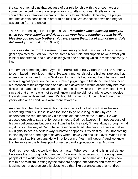the same time, tells us that because of our relationship with the unseen we are somehow helped through our supplications to attain our goal. It tells us to be charitable, for it removes calamity . It tells us to supplicate. Of course, the prayer requires certain conditions in order to be fulfilled. We cannot sit down and beg for assistance from the unseen.

The Quran speaking of the Prophet says, "**Remember God's blessing upon you when you were enemies and He brought your hearts together so that by His blessing you became brothers. You were upon the brink of a pit of fire and He delivered you from it ...** " (3:98-99)

This is assistance from the unseen. Sometimes you feel that if you follow a certain goal appointed by God, you receive some hidden aid and support beyond what you think or understand, and such a belief gives one a footing which is most necessary in life.

I remember something about Ayatullah Burrujerdi, a truly virtuous and fine authority to be imitated in religious matters. He was a monotheist of the highest rank and had a deep conviction and trust in God's aid to man. He had vowed that if he was cured after a surgical operation, he would make a pilgrimage to Mashhad. He announced his intention to his companions one day and asked who would accompany him. We discussed it among ourselves and did not think it advisable for him to make this visit since at that time he was not so well-known and we did not think he would receive the welcome he deserved there. We thought this vow could be fulfilled one or two years later when conditions were more favorable.

Another day when he repeated his invitation, one of us told him that as he was recovering from his illness, it was too soon to go on a long journey by car. He understood the real reason why his friends did not advise the journey. He was aroused enough to say that for seventy years God had favored him, not because of his own deliberations but because it was his lot. He said, "I have always thought what my duty is in the way of God. I have never considered whether it is above or below my dignity to act in a certain way. Whatever happens is my destiny. It is unbecoming to plan my steps at the age of seventy when I have God and His Favor. When I look upon myself as His servant, He will not forget me. Yes. I will depart." And we knew that he arose to the highest point of respect and appreciation by all Muslims.

God has never left the world without a master. Whenever mankind is in real danger, He saves them through a human being.You know how pessimistic the enlightened people of the world have become concerning the future of mankind. Do you know that this pessimism is fitting by the standard of apparent causes and factors? We Muslims do not appreciate this blessing so that, like our ancestors of a hundred